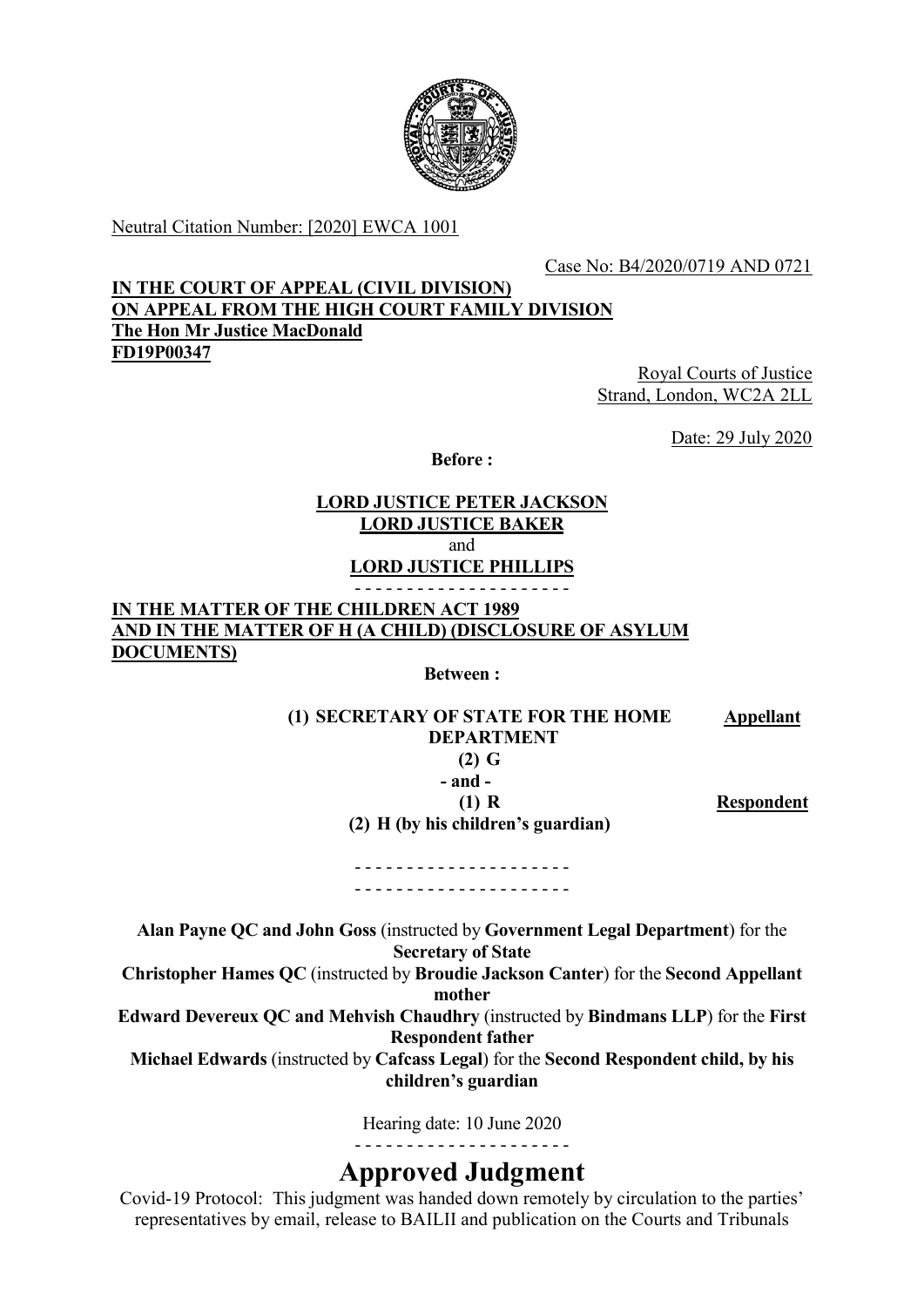

Neutral Citation Number: [2020] EWCA 1001

# Case No: B4/2020/0719 AND 0721

#### IN THE COURT OF APPEAL (CIVIL DIVISION) ON APPEAL FROM THE HIGH COURT FAMILY DIVISION The Hon Mr Justice MacDonald FD19P00347

Royal Courts of Justice Strand, London, WC2A 2LL

Date: 29 July 2020

Before :

# LORD JUSTICE PETER JACKSON LORD JUSTICE BAKER and LORD JUSTICE PHILLIPS

- - - - - - - - - - - - - - - - - - - - -

# IN THE MATTER OF THE CHILDREN ACT 1989 AND IN THE MATTER OF H (A CHILD) (DISCLOSURE OF ASYLUM DOCUMENTS)

Between :

#### (1) SECRETARY OF STATE FOR THE HOME DEPARTMENT Appellant

(2) G

- and -

(1) R

**Respondent** 

(2) H (by his children's guardian)

- - - - - - - - - - - - - - - - - - - - - - - - - - - - - - - - - - - - - - - - - -

Alan Payne QC and John Goss (instructed by Government Legal Department) for the Secretary of State

Christopher Hames QC (instructed by Broudie Jackson Canter) for the Second Appellant mother

Edward Devereux QC and Mehvish Chaudhry (instructed by Bindmans LLP) for the First Respondent father

Michael Edwards (instructed by Cafcass Legal) for the Second Respondent child, by his children's guardian

> Hearing date: 10 June 2020 - - - - - - - - - - - - - - - - - - - - -

# Approved Judgment

Covid-19 Protocol: This judgment was handed down remotely by circulation to the parties' representatives by email, release to BAILII and publication on the Courts and Tribunals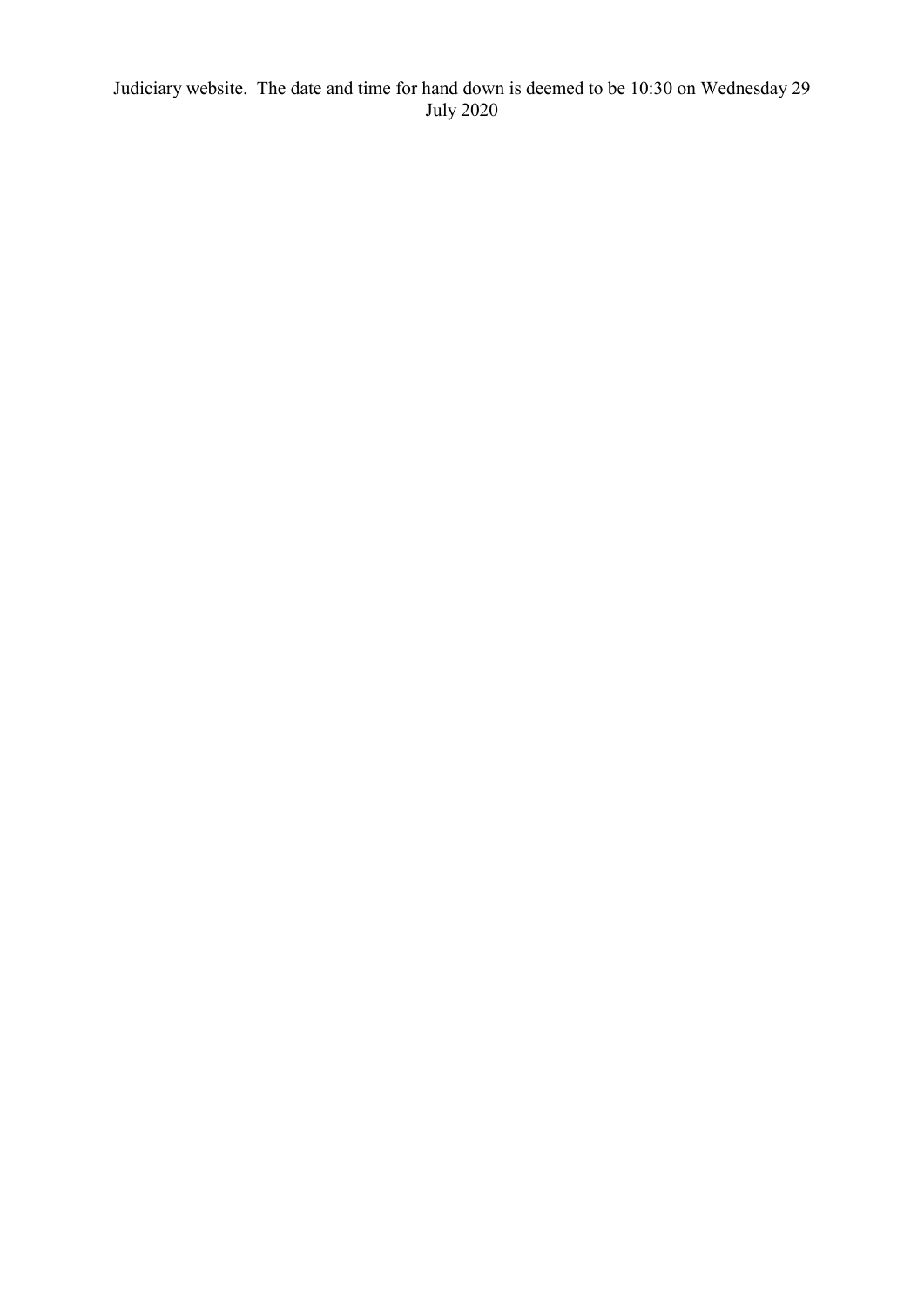Judiciary website. The date and time for hand down is deemed to be 10:30 on Wednesday 29 July 2020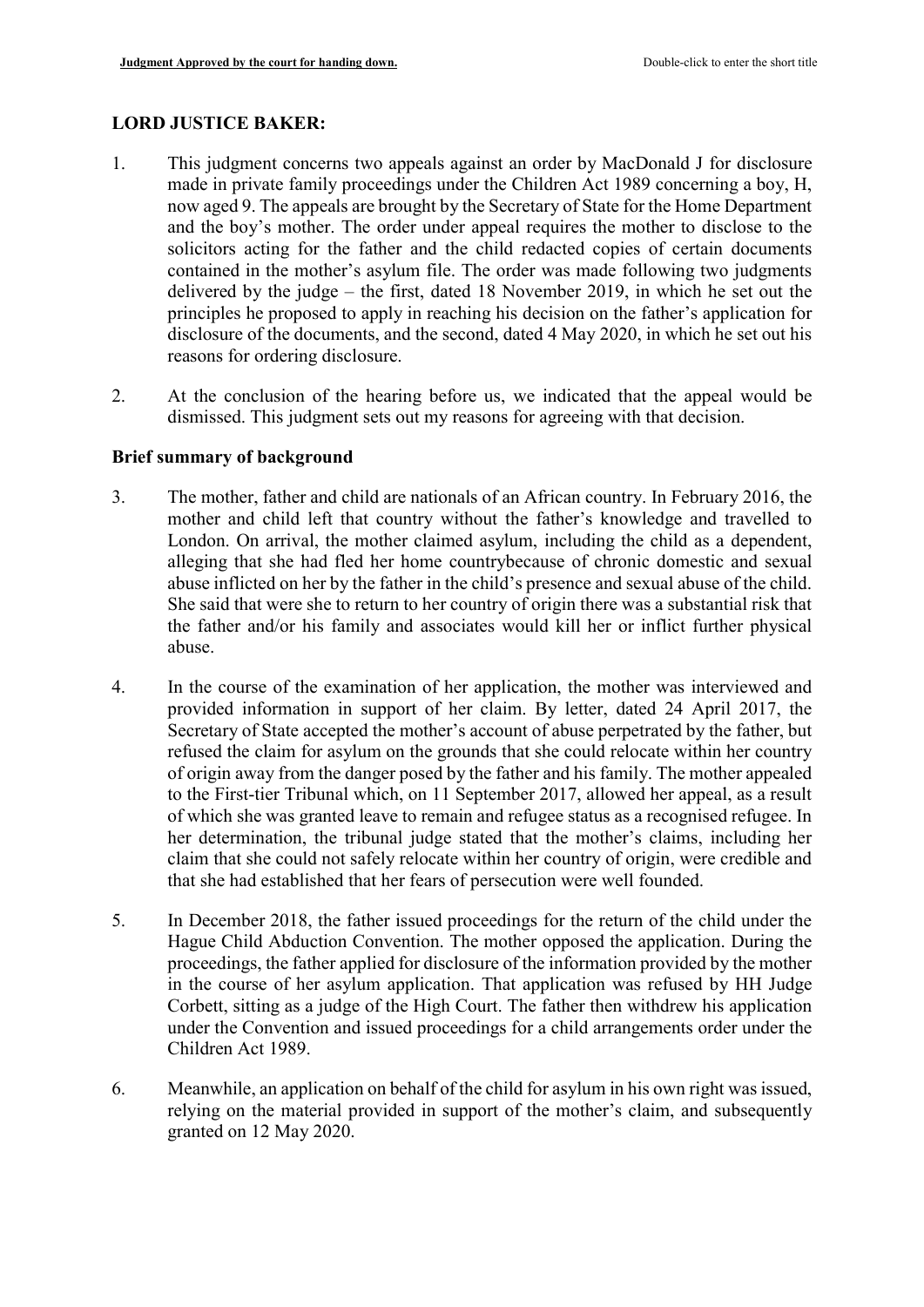# LORD JUSTICE BAKER:

- 1. This judgment concerns two appeals against an order by MacDonald J for disclosure made in private family proceedings under the Children Act 1989 concerning a boy, H, now aged 9. The appeals are brought by the Secretary of State for the Home Department and the boy's mother. The order under appeal requires the mother to disclose to the solicitors acting for the father and the child redacted copies of certain documents contained in the mother's asylum file. The order was made following two judgments delivered by the judge – the first, dated 18 November 2019, in which he set out the principles he proposed to apply in reaching his decision on the father's application for disclosure of the documents, and the second, dated 4 May 2020, in which he set out his reasons for ordering disclosure.
- 2. At the conclusion of the hearing before us, we indicated that the appeal would be dismissed. This judgment sets out my reasons for agreeing with that decision.

# Brief summary of background

- 3. The mother, father and child are nationals of an African country. In February 2016, the mother and child left that country without the father's knowledge and travelled to London. On arrival, the mother claimed asylum, including the child as a dependent, alleging that she had fled her home countrybecause of chronic domestic and sexual abuse inflicted on her by the father in the child's presence and sexual abuse of the child. She said that were she to return to her country of origin there was a substantial risk that the father and/or his family and associates would kill her or inflict further physical abuse.
- 4. In the course of the examination of her application, the mother was interviewed and provided information in support of her claim. By letter, dated 24 April 2017, the Secretary of State accepted the mother's account of abuse perpetrated by the father, but refused the claim for asylum on the grounds that she could relocate within her country of origin away from the danger posed by the father and his family. The mother appealed to the First-tier Tribunal which, on 11 September 2017, allowed her appeal, as a result of which she was granted leave to remain and refugee status as a recognised refugee. In her determination, the tribunal judge stated that the mother's claims, including her claim that she could not safely relocate within her country of origin, were credible and that she had established that her fears of persecution were well founded.
- 5. In December 2018, the father issued proceedings for the return of the child under the Hague Child Abduction Convention. The mother opposed the application. During the proceedings, the father applied for disclosure of the information provided by the mother in the course of her asylum application. That application was refused by HH Judge Corbett, sitting as a judge of the High Court. The father then withdrew his application under the Convention and issued proceedings for a child arrangements order under the Children Act 1989.
- 6. Meanwhile, an application on behalf of the child for asylum in his own right was issued, relying on the material provided in support of the mother's claim, and subsequently granted on 12 May 2020.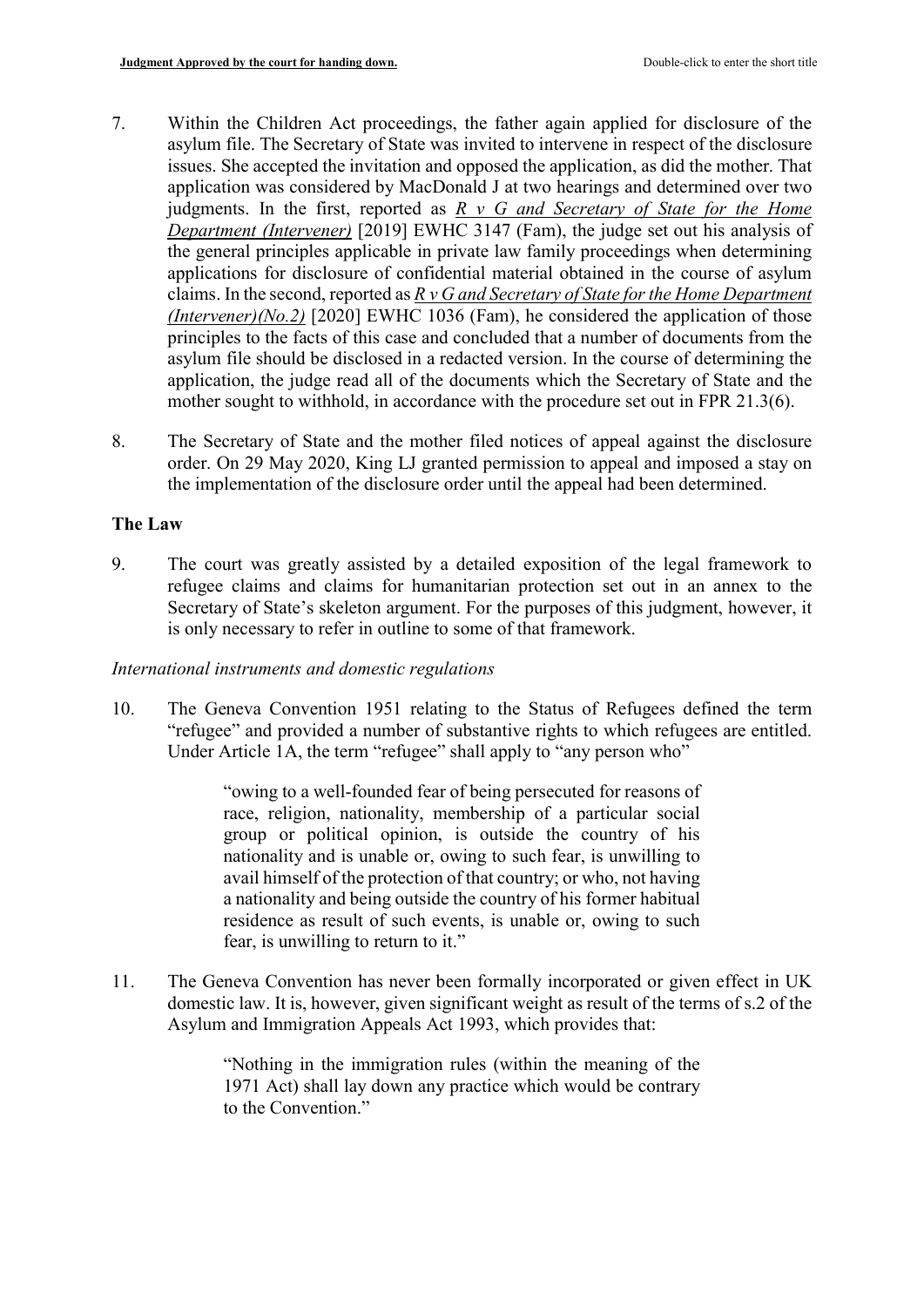- 7. Within the Children Act proceedings, the father again applied for disclosure of the asylum file. The Secretary of State was invited to intervene in respect of the disclosure issues. She accepted the invitation and opposed the application, as did the mother. That application was considered by MacDonald J at two hearings and determined over two judgments. In the first, reported as  $R \vee G$  and Secretary of State for the Home Department (Intervener) [2019] EWHC 3147 (Fam), the judge set out his analysis of the general principles applicable in private law family proceedings when determining applications for disclosure of confidential material obtained in the course of asylum claims. In the second, reported as  $R v G$  and Secretary of State for the Home Department (Intervener)(No.2) [2020] EWHC 1036 (Fam), he considered the application of those principles to the facts of this case and concluded that a number of documents from the asylum file should be disclosed in a redacted version. In the course of determining the application, the judge read all of the documents which the Secretary of State and the mother sought to withhold, in accordance with the procedure set out in FPR 21.3(6).
- 8. The Secretary of State and the mother filed notices of appeal against the disclosure order. On 29 May 2020, King LJ granted permission to appeal and imposed a stay on the implementation of the disclosure order until the appeal had been determined.

# The Law

9. The court was greatly assisted by a detailed exposition of the legal framework to refugee claims and claims for humanitarian protection set out in an annex to the Secretary of State's skeleton argument. For the purposes of this judgment, however, it is only necessary to refer in outline to some of that framework.

# International instruments and domestic regulations

10. The Geneva Convention 1951 relating to the Status of Refugees defined the term "refugee" and provided a number of substantive rights to which refugees are entitled. Under Article 1A, the term "refugee" shall apply to "any person who"

> "owing to a well-founded fear of being persecuted for reasons of race, religion, nationality, membership of a particular social group or political opinion, is outside the country of his nationality and is unable or, owing to such fear, is unwilling to avail himself of the protection of that country; or who, not having a nationality and being outside the country of his former habitual residence as result of such events, is unable or, owing to such fear, is unwilling to return to it."

11. The Geneva Convention has never been formally incorporated or given effect in UK domestic law. It is, however, given significant weight as result of the terms of s.2 of the Asylum and Immigration Appeals Act 1993, which provides that:

> "Nothing in the immigration rules (within the meaning of the 1971 Act) shall lay down any practice which would be contrary to the Convention."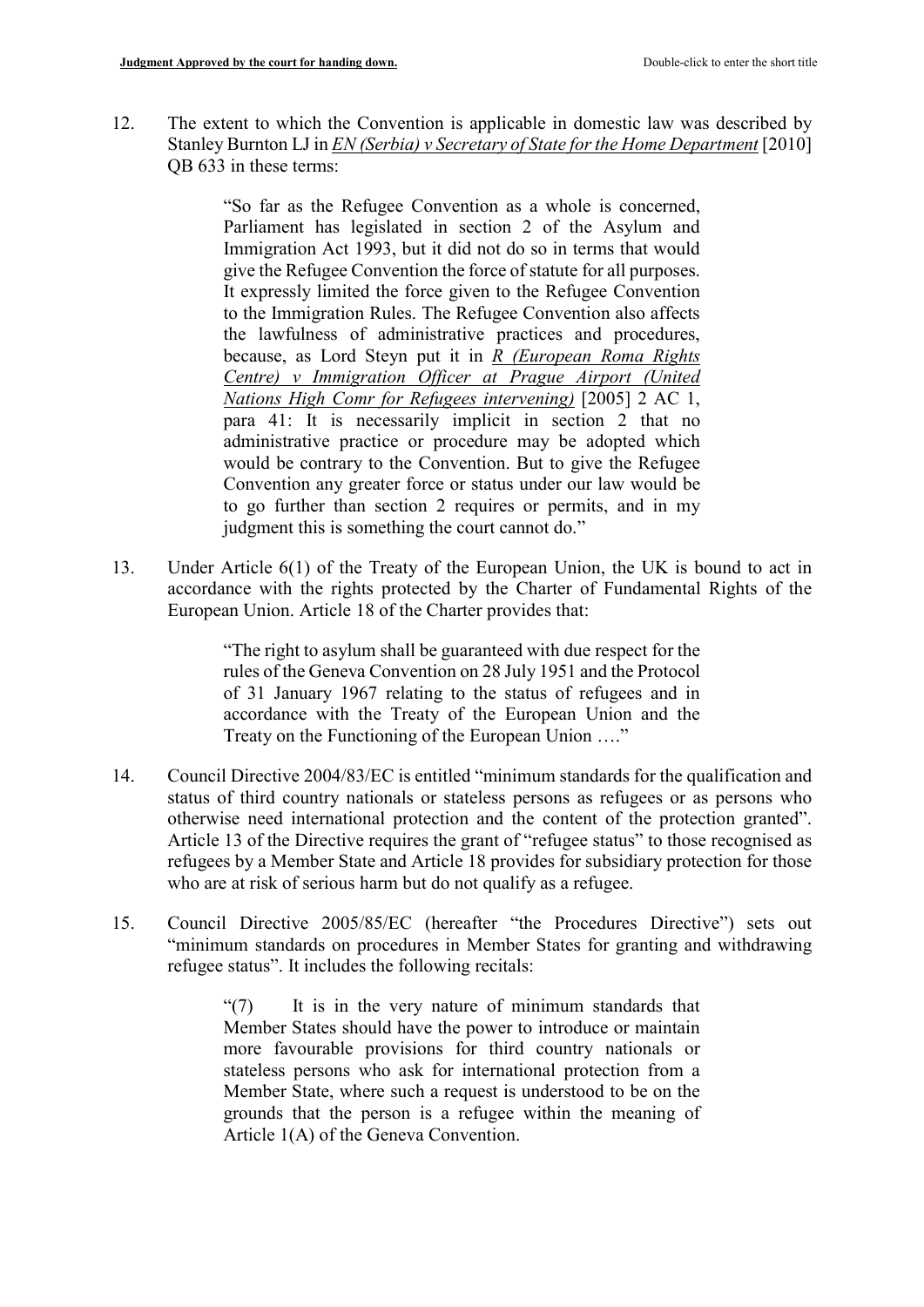12. The extent to which the Convention is applicable in domestic law was described by Stanley Burnton LJ in *EN* (Serbia) *v* Secretary of State for the Home Department [2010] QB 633 in these terms:

> "So far as the Refugee Convention as a whole is concerned, Parliament has legislated in section 2 of the Asylum and Immigration Act 1993, but it did not do so in terms that would give the Refugee Convention the force of statute for all purposes. It expressly limited the force given to the Refugee Convention to the Immigration Rules. The Refugee Convention also affects the lawfulness of administrative practices and procedures, because, as Lord Steyn put it in  $\overline{R}$  (European Roma Rights Centre) v Immigration Officer at Prague Airport (United Nations High Comr for Refugees intervening) [2005] 2 AC 1, para 41: It is necessarily implicit in section 2 that no administrative practice or procedure may be adopted which would be contrary to the Convention. But to give the Refugee Convention any greater force or status under our law would be to go further than section 2 requires or permits, and in my judgment this is something the court cannot do."

13. Under Article 6(1) of the Treaty of the European Union, the UK is bound to act in accordance with the rights protected by the Charter of Fundamental Rights of the European Union. Article 18 of the Charter provides that:

> "The right to asylum shall be guaranteed with due respect for the rules of the Geneva Convention on 28 July 1951 and the Protocol of 31 January 1967 relating to the status of refugees and in accordance with the Treaty of the European Union and the Treaty on the Functioning of the European Union ...."

- 14. Council Directive 2004/83/EC is entitled "minimum standards for the qualification and status of third country nationals or stateless persons as refugees or as persons who otherwise need international protection and the content of the protection granted". Article 13 of the Directive requires the grant of "refugee status" to those recognised as refugees by a Member State and Article 18 provides for subsidiary protection for those who are at risk of serious harm but do not qualify as a refugee.
- 15. Council Directive 2005/85/EC (hereafter "the Procedures Directive") sets out "minimum standards on procedures in Member States for granting and withdrawing refugee status". It includes the following recitals:

"(7) It is in the very nature of minimum standards that Member States should have the power to introduce or maintain more favourable provisions for third country nationals or stateless persons who ask for international protection from a Member State, where such a request is understood to be on the grounds that the person is a refugee within the meaning of Article 1(A) of the Geneva Convention.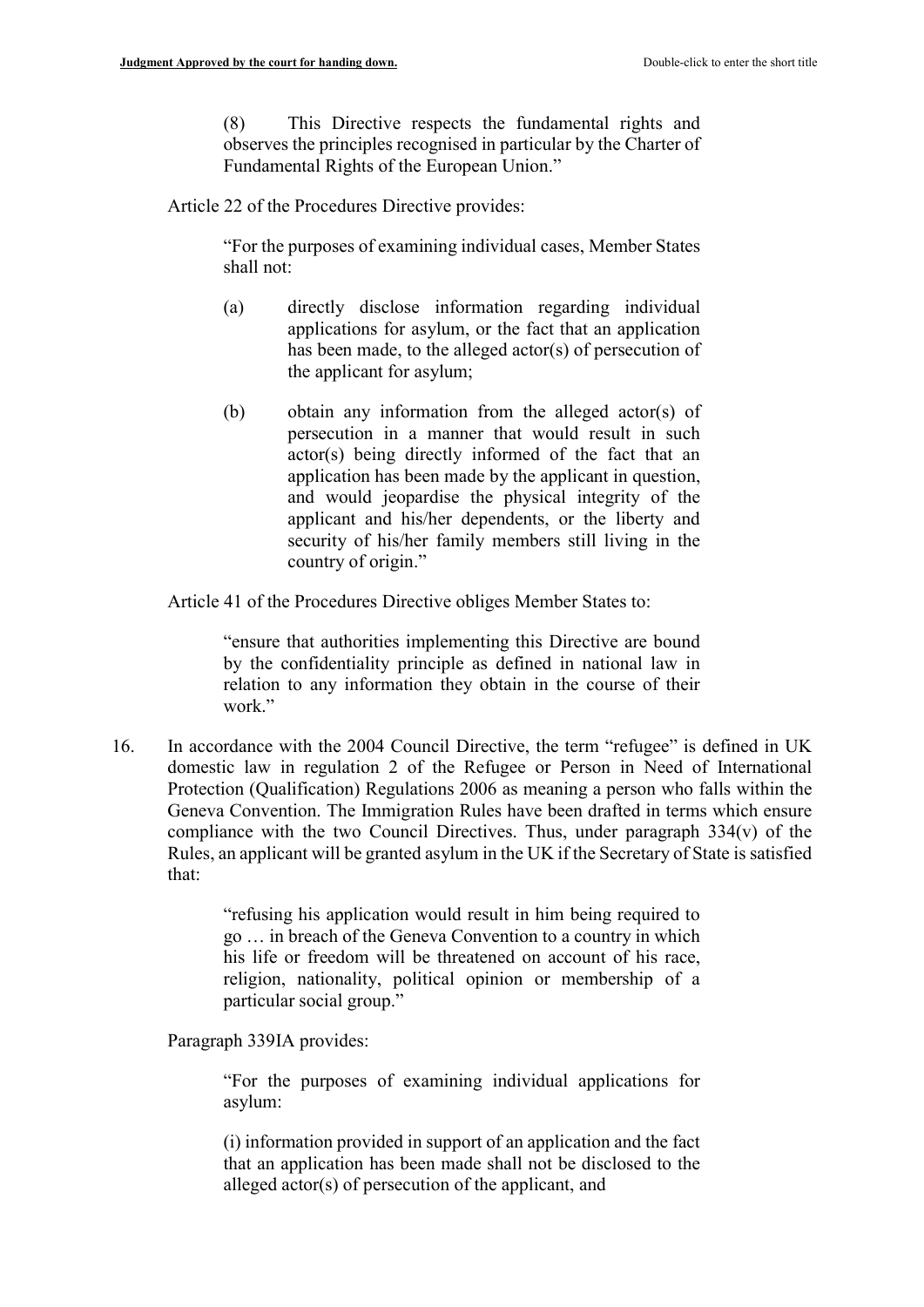(8) This Directive respects the fundamental rights and observes the principles recognised in particular by the Charter of Fundamental Rights of the European Union."

Article 22 of the Procedures Directive provides:

"For the purposes of examining individual cases, Member States shall not:

- (a) directly disclose information regarding individual applications for asylum, or the fact that an application has been made, to the alleged actor(s) of persecution of the applicant for asylum;
- (b) obtain any information from the alleged actor(s) of persecution in a manner that would result in such actor(s) being directly informed of the fact that an application has been made by the applicant in question, and would jeopardise the physical integrity of the applicant and his/her dependents, or the liberty and security of his/her family members still living in the country of origin."

Article 41 of the Procedures Directive obliges Member States to:

"ensure that authorities implementing this Directive are bound by the confidentiality principle as defined in national law in relation to any information they obtain in the course of their work."

16. In accordance with the 2004 Council Directive, the term "refugee" is defined in UK domestic law in regulation 2 of the Refugee or Person in Need of International Protection (Qualification) Regulations 2006 as meaning a person who falls within the Geneva Convention. The Immigration Rules have been drafted in terms which ensure compliance with the two Council Directives. Thus, under paragraph 334(v) of the Rules, an applicant will be granted asylum in the UK if the Secretary of State is satisfied that:

> "refusing his application would result in him being required to go … in breach of the Geneva Convention to a country in which his life or freedom will be threatened on account of his race, religion, nationality, political opinion or membership of a particular social group."

Paragraph 339IA provides:

"For the purposes of examining individual applications for asylum:

(i) information provided in support of an application and the fact that an application has been made shall not be disclosed to the alleged actor(s) of persecution of the applicant, and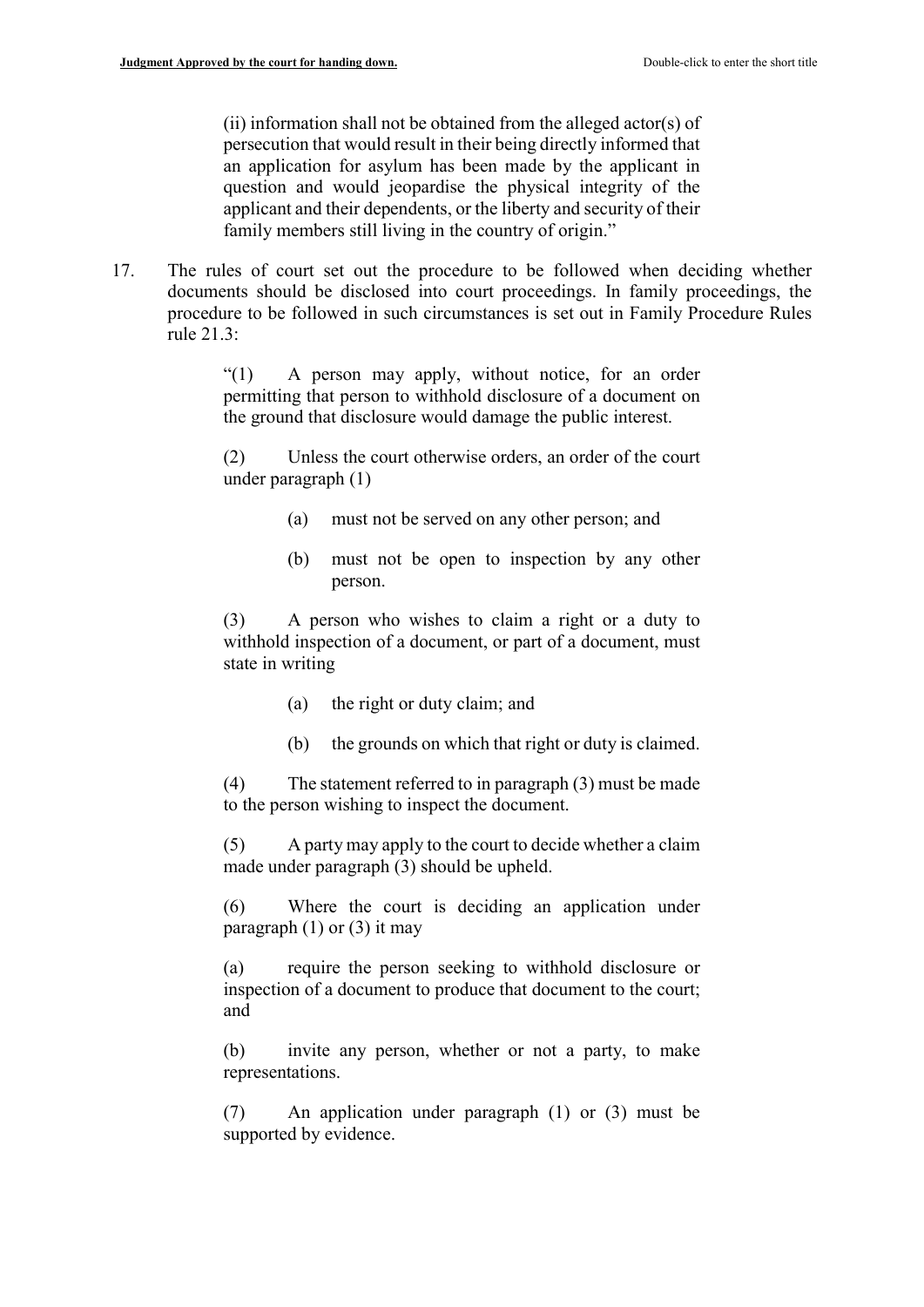(ii) information shall not be obtained from the alleged actor(s) of persecution that would result in their being directly informed that an application for asylum has been made by the applicant in question and would jeopardise the physical integrity of the applicant and their dependents, or the liberty and security of their family members still living in the country of origin."

17. The rules of court set out the procedure to be followed when deciding whether documents should be disclosed into court proceedings. In family proceedings, the procedure to be followed in such circumstances is set out in Family Procedure Rules rule 21.3:

> "(1) A person may apply, without notice, for an order permitting that person to withhold disclosure of a document on the ground that disclosure would damage the public interest.

> (2) Unless the court otherwise orders, an order of the court under paragraph (1)

- (a) must not be served on any other person; and
- (b) must not be open to inspection by any other person.

(3) A person who wishes to claim a right or a duty to withhold inspection of a document, or part of a document, must state in writing

- (a) the right or duty claim; and
- (b) the grounds on which that right or duty is claimed.

(4) The statement referred to in paragraph (3) must be made to the person wishing to inspect the document.

(5) A party may apply to the court to decide whether a claim made under paragraph (3) should be upheld.

(6) Where the court is deciding an application under paragraph  $(1)$  or  $(3)$  it may

(a) require the person seeking to withhold disclosure or inspection of a document to produce that document to the court; and

(b) invite any person, whether or not a party, to make representations.

(7) An application under paragraph (1) or (3) must be supported by evidence.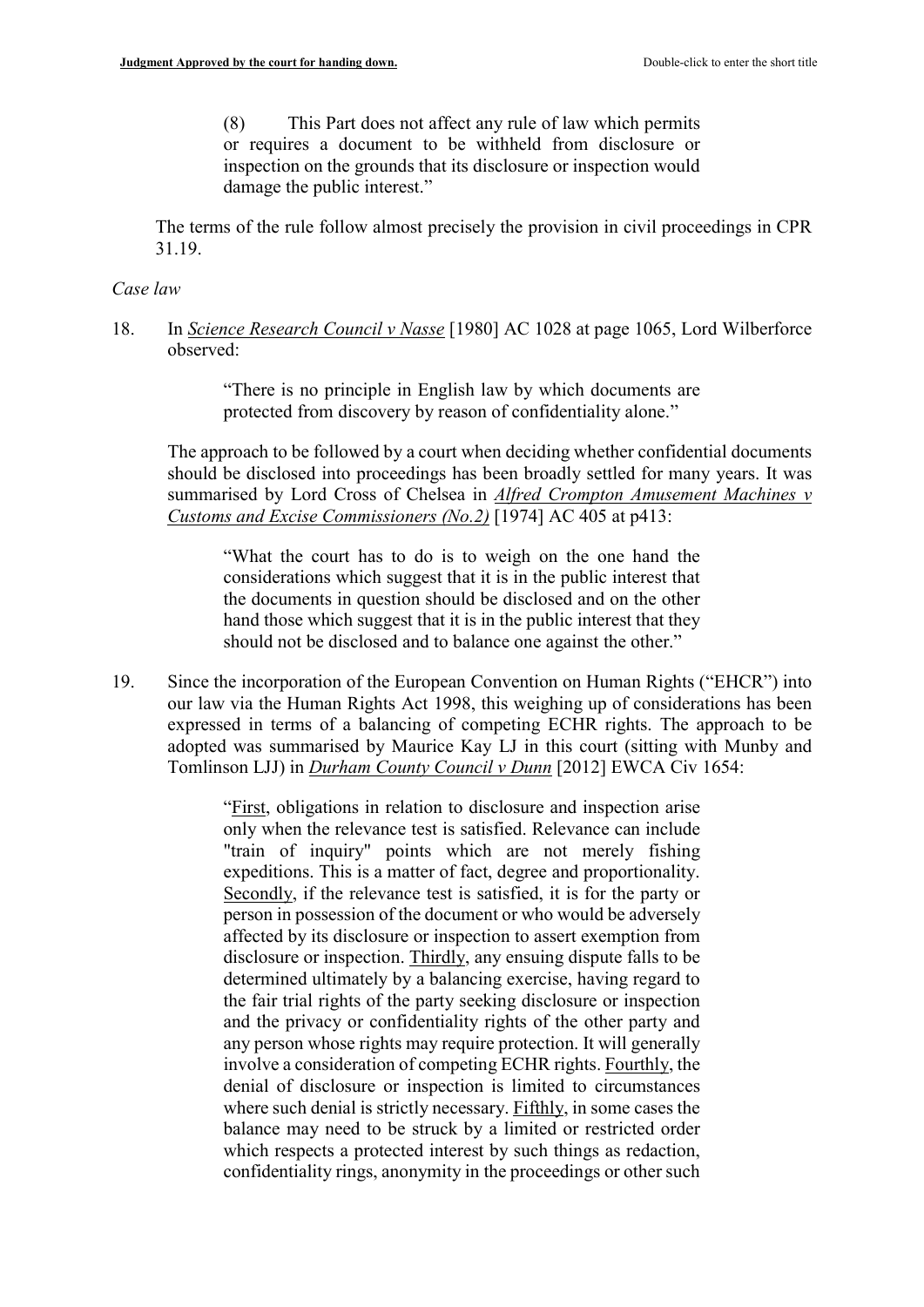(8) This Part does not affect any rule of law which permits or requires a document to be withheld from disclosure or inspection on the grounds that its disclosure or inspection would damage the public interest."

The terms of the rule follow almost precisely the provision in civil proceedings in CPR 31.19.

# Case law

18. In Science Research Council v Nasse [1980] AC 1028 at page 1065, Lord Wilberforce observed:

> "There is no principle in English law by which documents are protected from discovery by reason of confidentiality alone."

 The approach to be followed by a court when deciding whether confidential documents should be disclosed into proceedings has been broadly settled for many years. It was summarised by Lord Cross of Chelsea in Alfred Crompton Amusement Machines v Customs and Excise Commissioners (No.2) [1974] AC 405 at p413:

"What the court has to do is to weigh on the one hand the considerations which suggest that it is in the public interest that the documents in question should be disclosed and on the other hand those which suggest that it is in the public interest that they should not be disclosed and to balance one against the other."

19. Since the incorporation of the European Convention on Human Rights ("EHCR") into our law via the Human Rights Act 1998, this weighing up of considerations has been expressed in terms of a balancing of competing ECHR rights. The approach to be adopted was summarised by Maurice Kay LJ in this court (sitting with Munby and Tomlinson LJJ) in Durham County Council v Dunn [2012] EWCA Civ 1654:

> "First, obligations in relation to disclosure and inspection arise only when the relevance test is satisfied. Relevance can include "train of inquiry" points which are not merely fishing expeditions. This is a matter of fact, degree and proportionality. Secondly, if the relevance test is satisfied, it is for the party or person in possession of the document or who would be adversely affected by its disclosure or inspection to assert exemption from disclosure or inspection. Thirdly, any ensuing dispute falls to be determined ultimately by a balancing exercise, having regard to the fair trial rights of the party seeking disclosure or inspection and the privacy or confidentiality rights of the other party and any person whose rights may require protection. It will generally involve a consideration of competing ECHR rights. Fourthly, the denial of disclosure or inspection is limited to circumstances where such denial is strictly necessary. Fifthly, in some cases the balance may need to be struck by a limited or restricted order which respects a protected interest by such things as redaction, confidentiality rings, anonymity in the proceedings or other such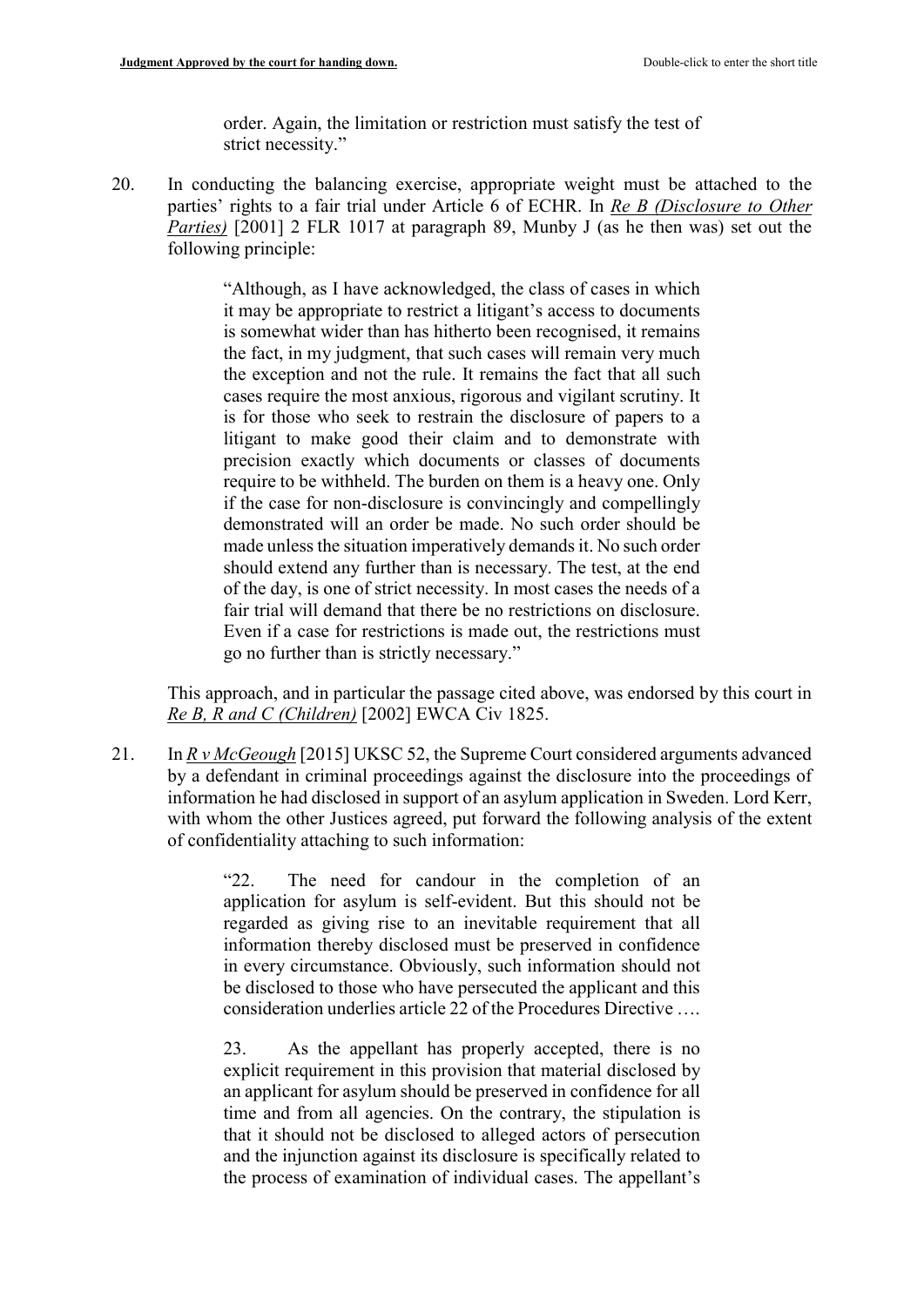order. Again, the limitation or restriction must satisfy the test of strict necessity."

20. In conducting the balancing exercise, appropriate weight must be attached to the parties' rights to a fair trial under Article 6 of ECHR. In Re B (Disclosure to Other Parties) [2001] 2 FLR 1017 at paragraph 89, Munby J (as he then was) set out the following principle:

> "Although, as I have acknowledged, the class of cases in which it may be appropriate to restrict a litigant's access to documents is somewhat wider than has hitherto been recognised, it remains the fact, in my judgment, that such cases will remain very much the exception and not the rule. It remains the fact that all such cases require the most anxious, rigorous and vigilant scrutiny. It is for those who seek to restrain the disclosure of papers to a litigant to make good their claim and to demonstrate with precision exactly which documents or classes of documents require to be withheld. The burden on them is a heavy one. Only if the case for non-disclosure is convincingly and compellingly demonstrated will an order be made. No such order should be made unless the situation imperatively demands it. No such order should extend any further than is necessary. The test, at the end of the day, is one of strict necessity. In most cases the needs of a fair trial will demand that there be no restrictions on disclosure. Even if a case for restrictions is made out, the restrictions must go no further than is strictly necessary."

This approach, and in particular the passage cited above, was endorsed by this court in Re B, R and C (Children) [2002] EWCA Civ 1825.

21. In  $R v$  McGeough [2015] UKSC 52, the Supreme Court considered arguments advanced by a defendant in criminal proceedings against the disclosure into the proceedings of information he had disclosed in support of an asylum application in Sweden. Lord Kerr, with whom the other Justices agreed, put forward the following analysis of the extent of confidentiality attaching to such information:

> "22. The need for candour in the completion of an application for asylum is self-evident. But this should not be regarded as giving rise to an inevitable requirement that all information thereby disclosed must be preserved in confidence in every circumstance. Obviously, such information should not be disclosed to those who have persecuted the applicant and this consideration underlies article 22 of the Procedures Directive ….

> 23. As the appellant has properly accepted, there is no explicit requirement in this provision that material disclosed by an applicant for asylum should be preserved in confidence for all time and from all agencies. On the contrary, the stipulation is that it should not be disclosed to alleged actors of persecution and the injunction against its disclosure is specifically related to the process of examination of individual cases. The appellant's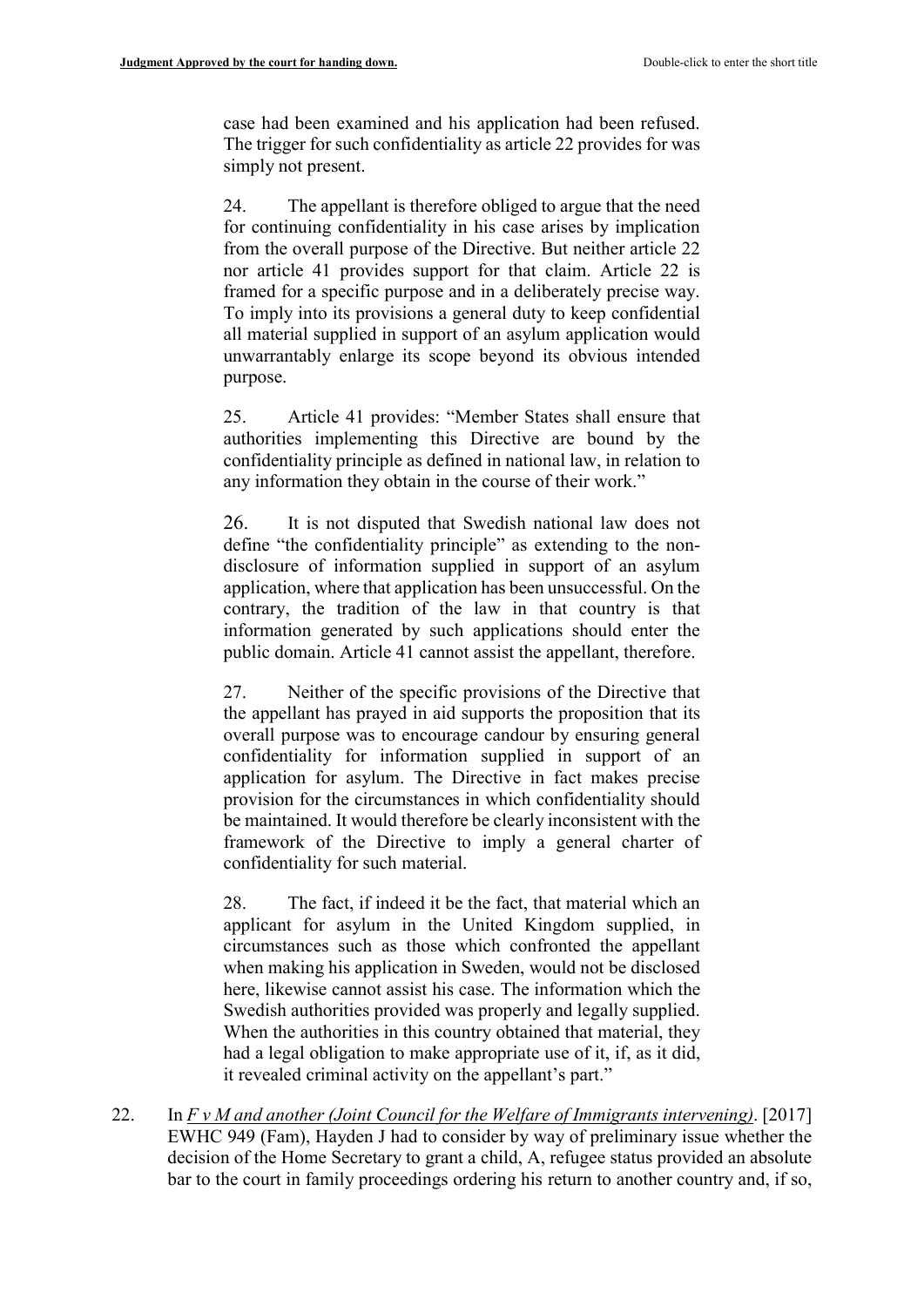case had been examined and his application had been refused. The trigger for such confidentiality as article 22 provides for was simply not present.

24. The appellant is therefore obliged to argue that the need for continuing confidentiality in his case arises by implication from the overall purpose of the Directive. But neither article 22 nor article 41 provides support for that claim. Article 22 is framed for a specific purpose and in a deliberately precise way. To imply into its provisions a general duty to keep confidential all material supplied in support of an asylum application would unwarrantably enlarge its scope beyond its obvious intended purpose.

25. Article 41 provides: "Member States shall ensure that authorities implementing this Directive are bound by the confidentiality principle as defined in national law, in relation to any information they obtain in the course of their work."

26. It is not disputed that Swedish national law does not define "the confidentiality principle" as extending to the nondisclosure of information supplied in support of an asylum application, where that application has been unsuccessful. On the contrary, the tradition of the law in that country is that information generated by such applications should enter the public domain. Article 41 cannot assist the appellant, therefore.

27. Neither of the specific provisions of the Directive that the appellant has prayed in aid supports the proposition that its overall purpose was to encourage candour by ensuring general confidentiality for information supplied in support of an application for asylum. The Directive in fact makes precise provision for the circumstances in which confidentiality should be maintained. It would therefore be clearly inconsistent with the framework of the Directive to imply a general charter of confidentiality for such material.

28. The fact, if indeed it be the fact, that material which an applicant for asylum in the United Kingdom supplied, in circumstances such as those which confronted the appellant when making his application in Sweden, would not be disclosed here, likewise cannot assist his case. The information which the Swedish authorities provided was properly and legally supplied. When the authorities in this country obtained that material, they had a legal obligation to make appropriate use of it, if, as it did, it revealed criminal activity on the appellant's part."

22. In  $F v M$  and another (Joint Council for the Welfare of Immigrants intervening). [2017] EWHC 949 (Fam), Hayden J had to consider by way of preliminary issue whether the decision of the Home Secretary to grant a child, A, refugee status provided an absolute bar to the court in family proceedings ordering his return to another country and, if so,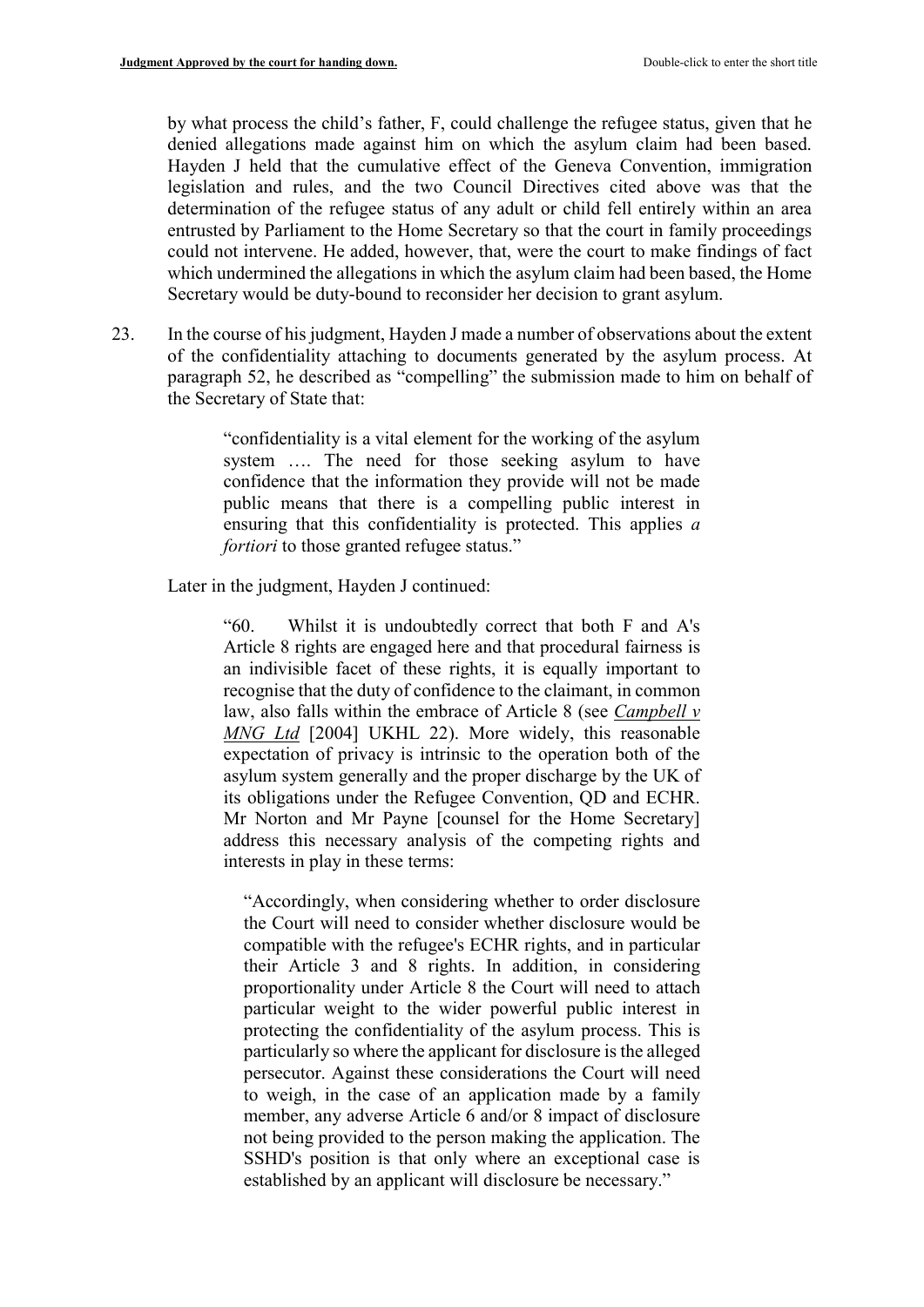by what process the child's father, F, could challenge the refugee status, given that he denied allegations made against him on which the asylum claim had been based. Hayden J held that the cumulative effect of the Geneva Convention, immigration legislation and rules, and the two Council Directives cited above was that the determination of the refugee status of any adult or child fell entirely within an area entrusted by Parliament to the Home Secretary so that the court in family proceedings could not intervene. He added, however, that, were the court to make findings of fact which undermined the allegations in which the asylum claim had been based, the Home Secretary would be duty-bound to reconsider her decision to grant asylum.

23. In the course of his judgment, Hayden J made a number of observations about the extent of the confidentiality attaching to documents generated by the asylum process. At paragraph 52, he described as "compelling" the submission made to him on behalf of the Secretary of State that:

> "confidentiality is a vital element for the working of the asylum system …. The need for those seeking asylum to have confidence that the information they provide will not be made public means that there is a compelling public interest in ensuring that this confidentiality is protected. This applies a fortiori to those granted refugee status."

Later in the judgment, Hayden J continued:

"60. Whilst it is undoubtedly correct that both F and A's Article 8 rights are engaged here and that procedural fairness is an indivisible facet of these rights, it is equally important to recognise that the duty of confidence to the claimant, in common law, also falls within the embrace of Article 8 (see Campbell v MNG Ltd [2004] UKHL 22). More widely, this reasonable expectation of privacy is intrinsic to the operation both of the asylum system generally and the proper discharge by the UK of its obligations under the Refugee Convention, QD and ECHR. Mr Norton and Mr Payne [counsel for the Home Secretary] address this necessary analysis of the competing rights and interests in play in these terms:

"Accordingly, when considering whether to order disclosure the Court will need to consider whether disclosure would be compatible with the refugee's ECHR rights, and in particular their Article 3 and 8 rights. In addition, in considering proportionality under Article 8 the Court will need to attach particular weight to the wider powerful public interest in protecting the confidentiality of the asylum process. This is particularly so where the applicant for disclosure is the alleged persecutor. Against these considerations the Court will need to weigh, in the case of an application made by a family member, any adverse Article 6 and/or 8 impact of disclosure not being provided to the person making the application. The SSHD's position is that only where an exceptional case is established by an applicant will disclosure be necessary."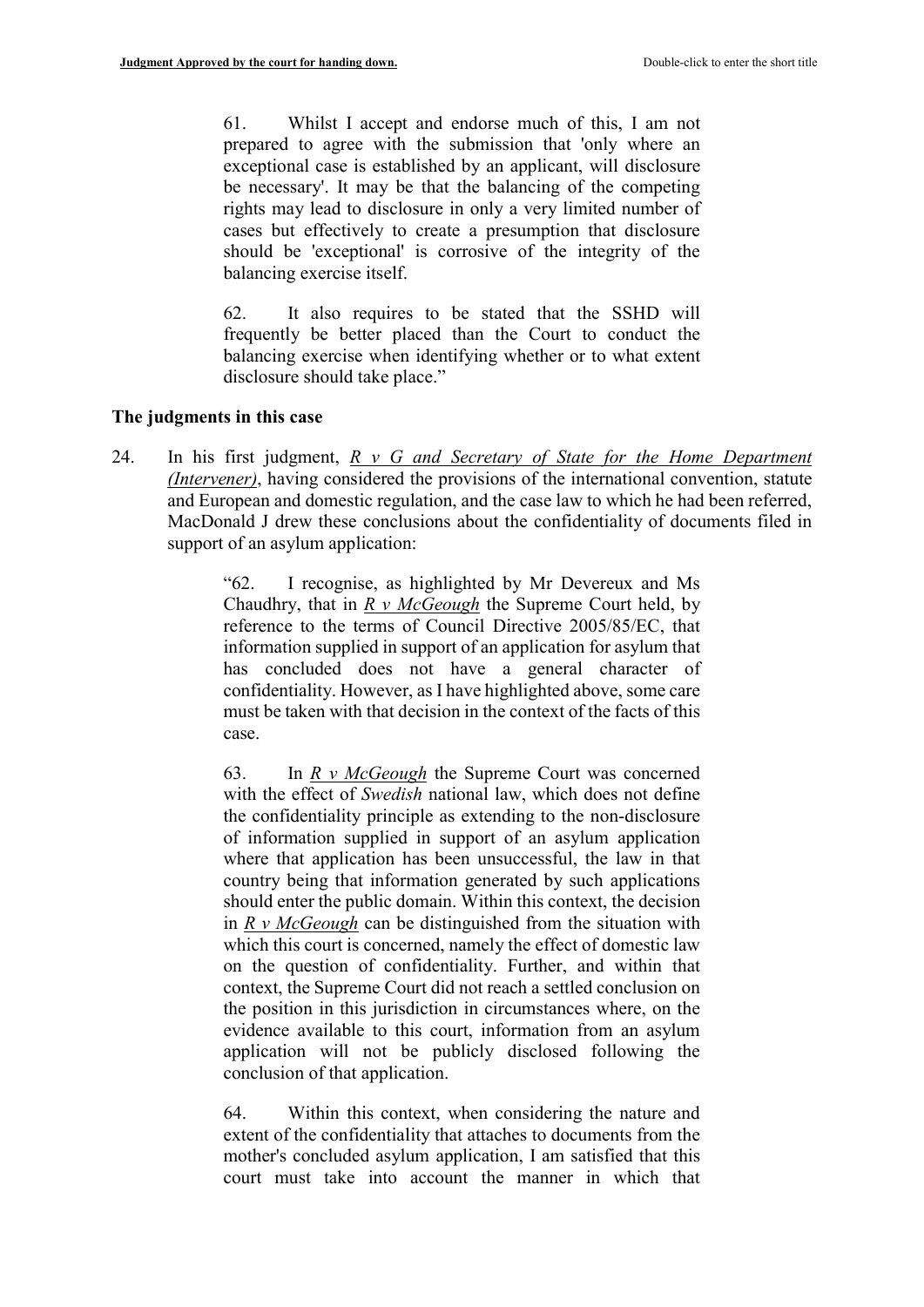61. Whilst I accept and endorse much of this, I am not prepared to agree with the submission that 'only where an exceptional case is established by an applicant, will disclosure be necessary'. It may be that the balancing of the competing rights may lead to disclosure in only a very limited number of cases but effectively to create a presumption that disclosure should be 'exceptional' is corrosive of the integrity of the balancing exercise itself.

62. It also requires to be stated that the SSHD will frequently be better placed than the Court to conduct the balancing exercise when identifying whether or to what extent disclosure should take place."

# The judgments in this case

24. In his first judgment,  $R \vee G$  and Secretary of State for the Home Department (Intervener), having considered the provisions of the international convention, statute and European and domestic regulation, and the case law to which he had been referred, MacDonald J drew these conclusions about the confidentiality of documents filed in support of an asylum application:

> "62. I recognise, as highlighted by Mr Devereux and Ms Chaudhry, that in  $R \, v \, McGeough$  the Supreme Court held, by reference to the terms of Council Directive 2005/85/EC, that information supplied in support of an application for asylum that has concluded does not have a general character of confidentiality. However, as I have highlighted above, some care must be taken with that decision in the context of the facts of this case.

> 63. In  $R \vee McGeough$  the Supreme Court was concerned with the effect of *Swedish* national law, which does not define the confidentiality principle as extending to the non-disclosure of information supplied in support of an asylum application where that application has been unsuccessful, the law in that country being that information generated by such applications should enter the public domain. Within this context, the decision in  $R \, \nu$  McGeough can be distinguished from the situation with which this court is concerned, namely the effect of domestic law on the question of confidentiality. Further, and within that context, the Supreme Court did not reach a settled conclusion on the position in this jurisdiction in circumstances where, on the evidence available to this court, information from an asylum application will not be publicly disclosed following the conclusion of that application.

> 64. Within this context, when considering the nature and extent of the confidentiality that attaches to documents from the mother's concluded asylum application, I am satisfied that this court must take into account the manner in which that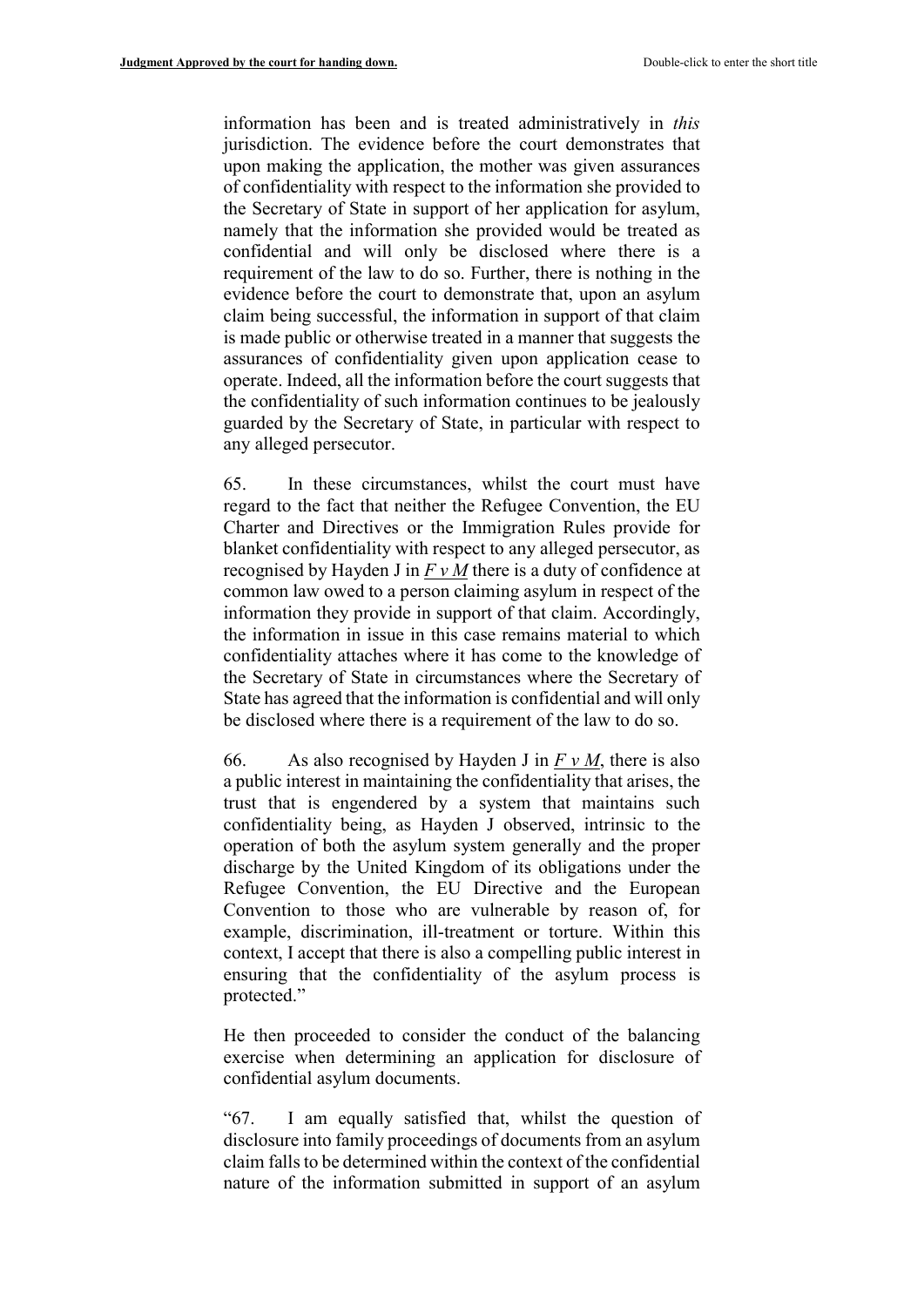information has been and is treated administratively in this jurisdiction. The evidence before the court demonstrates that upon making the application, the mother was given assurances of confidentiality with respect to the information she provided to the Secretary of State in support of her application for asylum, namely that the information she provided would be treated as confidential and will only be disclosed where there is a requirement of the law to do so. Further, there is nothing in the evidence before the court to demonstrate that, upon an asylum claim being successful, the information in support of that claim is made public or otherwise treated in a manner that suggests the assurances of confidentiality given upon application cease to operate. Indeed, all the information before the court suggests that the confidentiality of such information continues to be jealously guarded by the Secretary of State, in particular with respect to any alleged persecutor.

65. In these circumstances, whilst the court must have regard to the fact that neither the Refugee Convention, the EU Charter and Directives or the Immigration Rules provide for blanket confidentiality with respect to any alleged persecutor, as recognised by Hayden J in  $F v M$  there is a duty of confidence at common law owed to a person claiming asylum in respect of the information they provide in support of that claim. Accordingly, the information in issue in this case remains material to which confidentiality attaches where it has come to the knowledge of the Secretary of State in circumstances where the Secretary of State has agreed that the information is confidential and will only be disclosed where there is a requirement of the law to do so.

66. As also recognised by Hayden J in  $F v M$ , there is also a public interest in maintaining the confidentiality that arises, the trust that is engendered by a system that maintains such confidentiality being, as Hayden J observed, intrinsic to the operation of both the asylum system generally and the proper discharge by the United Kingdom of its obligations under the Refugee Convention, the EU Directive and the European Convention to those who are vulnerable by reason of, for example, discrimination, ill-treatment or torture. Within this context, I accept that there is also a compelling public interest in ensuring that the confidentiality of the asylum process is protected."

He then proceeded to consider the conduct of the balancing exercise when determining an application for disclosure of confidential asylum documents.

"67. I am equally satisfied that, whilst the question of disclosure into family proceedings of documents from an asylum claim falls to be determined within the context of the confidential nature of the information submitted in support of an asylum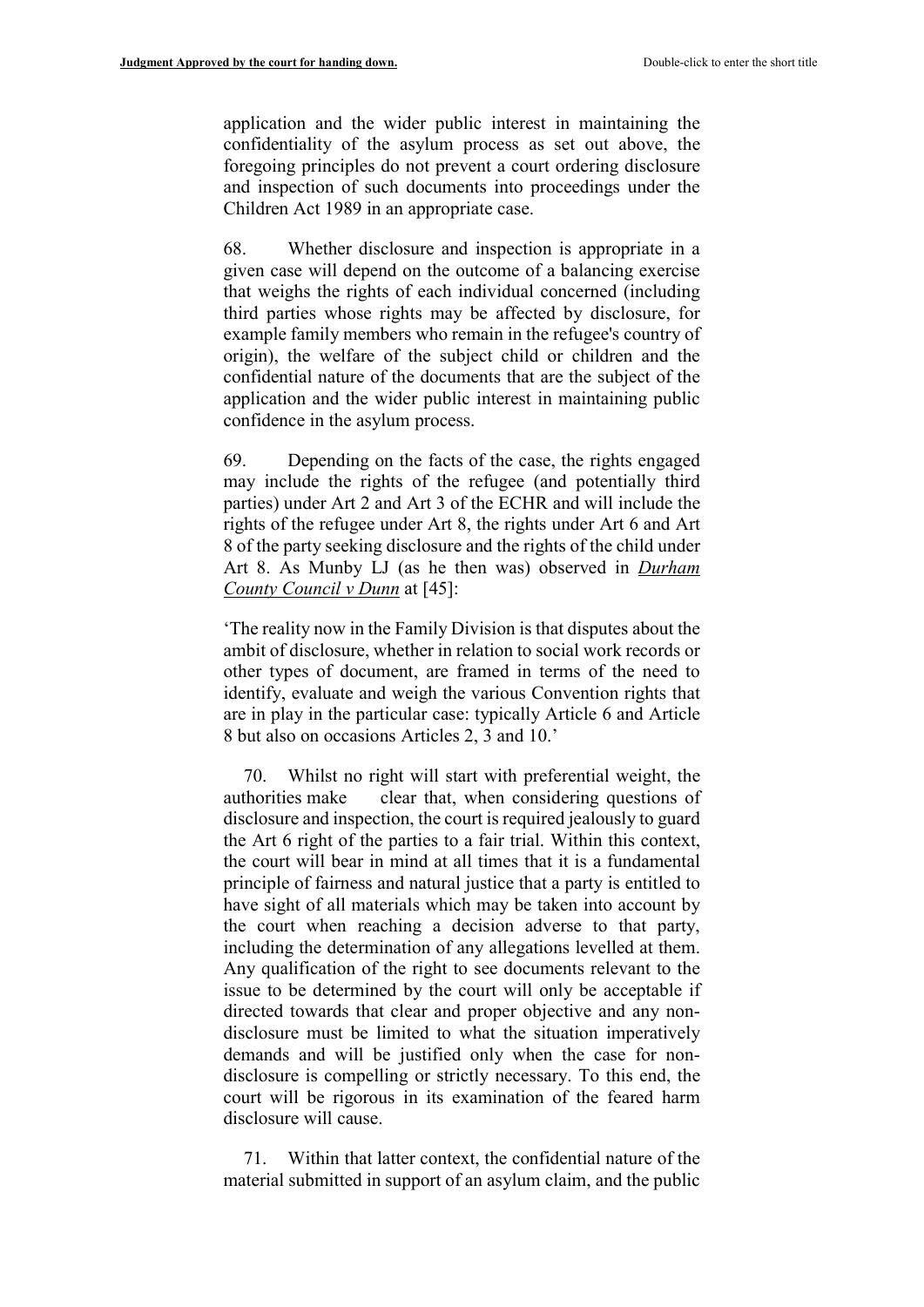application and the wider public interest in maintaining the confidentiality of the asylum process as set out above, the foregoing principles do not prevent a court ordering disclosure and inspection of such documents into proceedings under the Children Act 1989 in an appropriate case.

68. Whether disclosure and inspection is appropriate in a given case will depend on the outcome of a balancing exercise that weighs the rights of each individual concerned (including third parties whose rights may be affected by disclosure, for example family members who remain in the refugee's country of origin), the welfare of the subject child or children and the confidential nature of the documents that are the subject of the application and the wider public interest in maintaining public confidence in the asylum process.

69. Depending on the facts of the case, the rights engaged may include the rights of the refugee (and potentially third parties) under Art 2 and Art 3 of the ECHR and will include the rights of the refugee under Art 8, the rights under Art 6 and Art 8 of the party seeking disclosure and the rights of the child under Art 8. As Munby LJ (as he then was) observed in Durham County Council v Dunn at [45]:

'The reality now in the Family Division is that disputes about the ambit of disclosure, whether in relation to social work records or other types of document, are framed in terms of the need to identify, evaluate and weigh the various Convention rights that are in play in the particular case: typically Article 6 and Article 8 but also on occasions Articles 2, 3 and 10.'

 70. Whilst no right will start with preferential weight, the authorities make clear that, when considering questions of disclosure and inspection, the court is required jealously to guard the Art 6 right of the parties to a fair trial. Within this context, the court will bear in mind at all times that it is a fundamental principle of fairness and natural justice that a party is entitled to have sight of all materials which may be taken into account by the court when reaching a decision adverse to that party, including the determination of any allegations levelled at them. Any qualification of the right to see documents relevant to the issue to be determined by the court will only be acceptable if directed towards that clear and proper objective and any nondisclosure must be limited to what the situation imperatively demands and will be justified only when the case for nondisclosure is compelling or strictly necessary. To this end, the court will be rigorous in its examination of the feared harm disclosure will cause.

 71. Within that latter context, the confidential nature of the material submitted in support of an asylum claim, and the public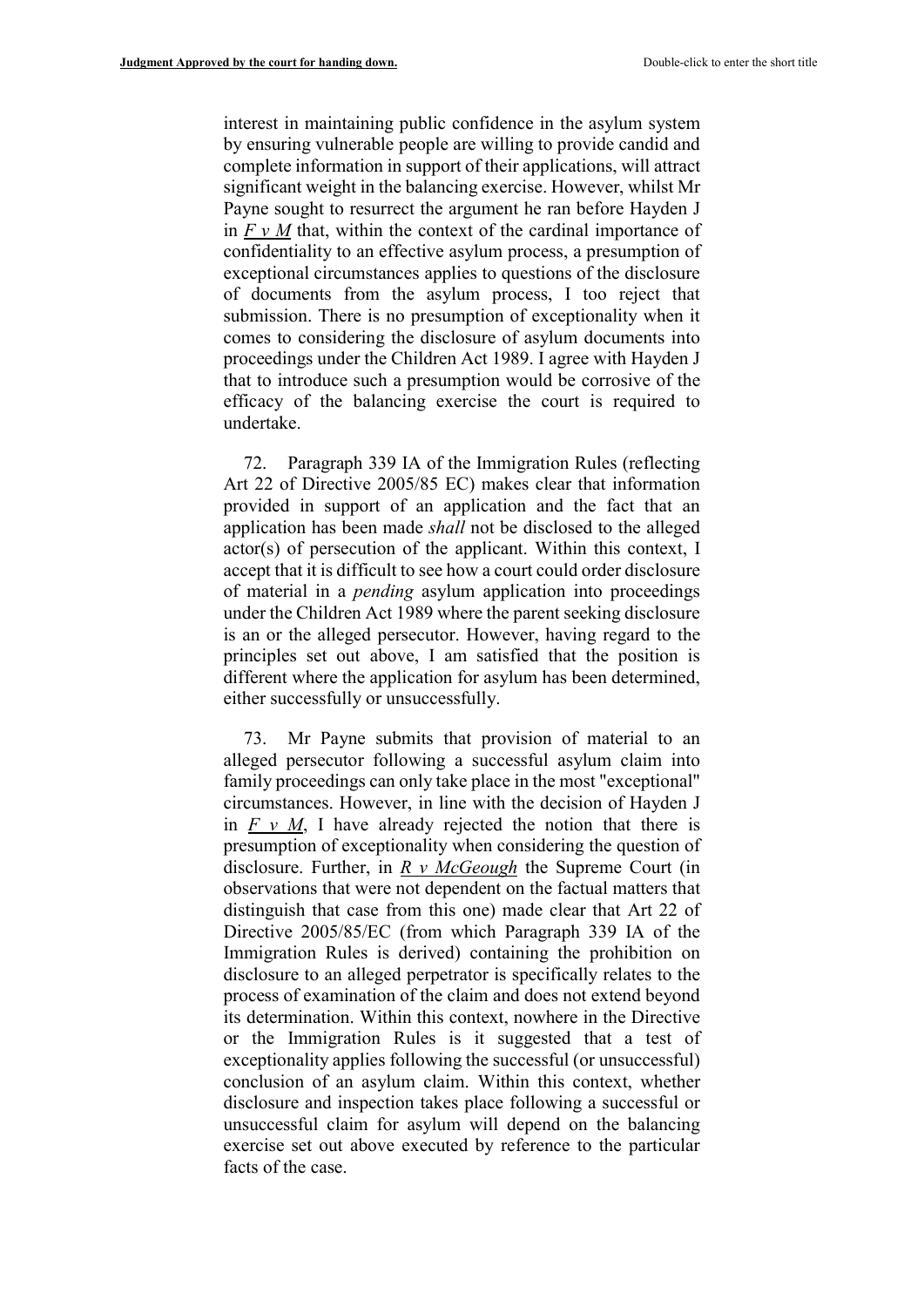interest in maintaining public confidence in the asylum system by ensuring vulnerable people are willing to provide candid and complete information in support of their applications, will attract significant weight in the balancing exercise. However, whilst Mr Payne sought to resurrect the argument he ran before Hayden J in  $F v M$  that, within the context of the cardinal importance of confidentiality to an effective asylum process, a presumption of exceptional circumstances applies to questions of the disclosure of documents from the asylum process, I too reject that submission. There is no presumption of exceptionality when it comes to considering the disclosure of asylum documents into proceedings under the Children Act 1989. I agree with Hayden J that to introduce such a presumption would be corrosive of the efficacy of the balancing exercise the court is required to undertake.

 72. Paragraph 339 IA of the Immigration Rules (reflecting Art 22 of Directive 2005/85 EC) makes clear that information provided in support of an application and the fact that an application has been made shall not be disclosed to the alleged actor(s) of persecution of the applicant. Within this context, I accept that it is difficult to see how a court could order disclosure of material in a pending asylum application into proceedings under the Children Act 1989 where the parent seeking disclosure is an or the alleged persecutor. However, having regard to the principles set out above, I am satisfied that the position is different where the application for asylum has been determined, either successfully or unsuccessfully.

 73. Mr Payne submits that provision of material to an alleged persecutor following a successful asylum claim into family proceedings can only take place in the most "exceptional" circumstances. However, in line with the decision of Hayden J in  $F \, v \, M$ , I have already rejected the notion that there is presumption of exceptionality when considering the question of disclosure. Further, in  $R \text{ } v$  McGeough the Supreme Court (in observations that were not dependent on the factual matters that distinguish that case from this one) made clear that Art 22 of Directive 2005/85/EC (from which Paragraph 339 IA of the Immigration Rules is derived) containing the prohibition on disclosure to an alleged perpetrator is specifically relates to the process of examination of the claim and does not extend beyond its determination. Within this context, nowhere in the Directive or the Immigration Rules is it suggested that a test of exceptionality applies following the successful (or unsuccessful) conclusion of an asylum claim. Within this context, whether disclosure and inspection takes place following a successful or unsuccessful claim for asylum will depend on the balancing exercise set out above executed by reference to the particular facts of the case.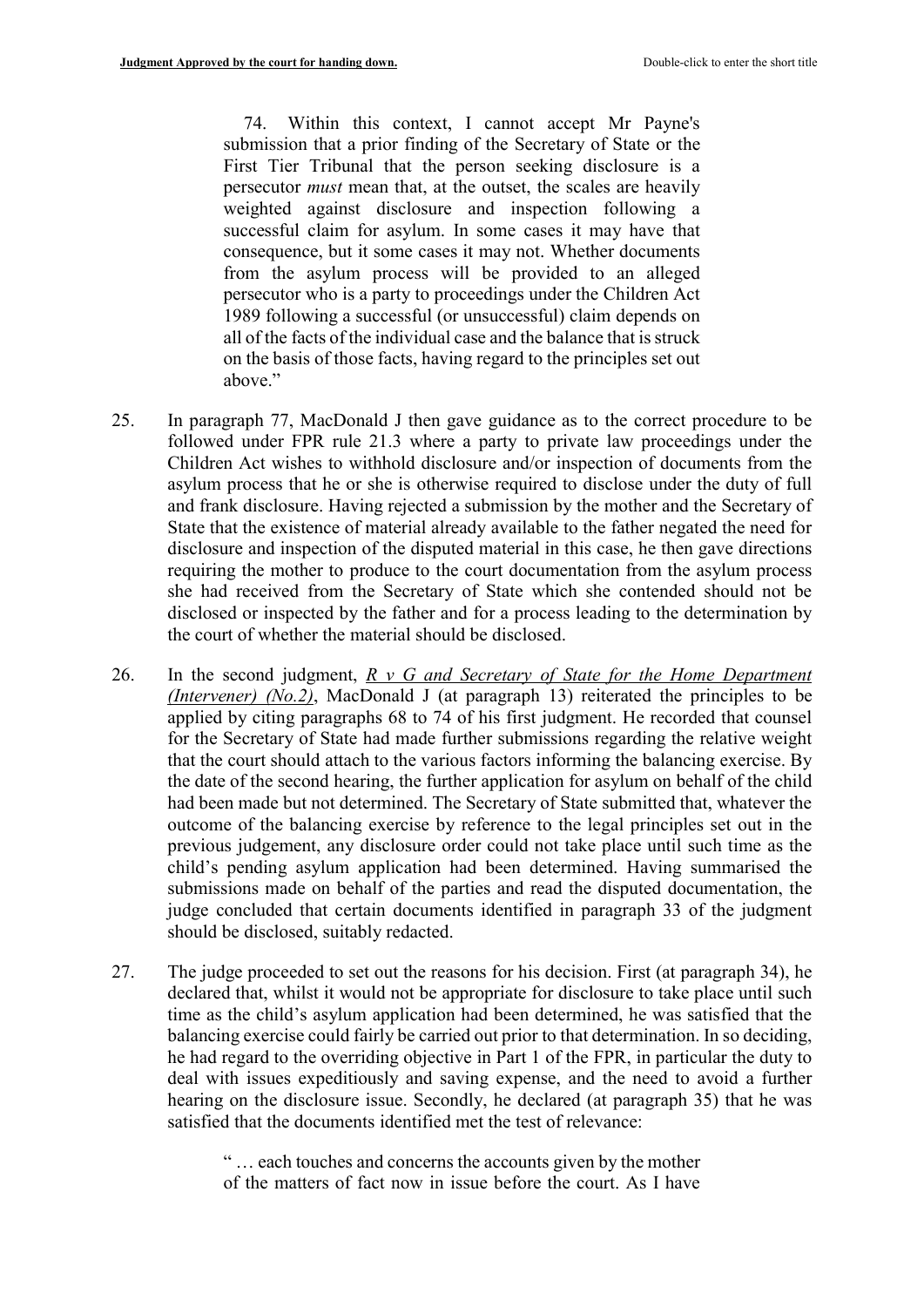74. Within this context, I cannot accept Mr Payne's submission that a prior finding of the Secretary of State or the First Tier Tribunal that the person seeking disclosure is a persecutor must mean that, at the outset, the scales are heavily weighted against disclosure and inspection following a successful claim for asylum. In some cases it may have that consequence, but it some cases it may not. Whether documents from the asylum process will be provided to an alleged persecutor who is a party to proceedings under the Children Act 1989 following a successful (or unsuccessful) claim depends on all of the facts of the individual case and the balance that is struck on the basis of those facts, having regard to the principles set out above."

- 25. In paragraph 77, MacDonald J then gave guidance as to the correct procedure to be followed under FPR rule 21.3 where a party to private law proceedings under the Children Act wishes to withhold disclosure and/or inspection of documents from the asylum process that he or she is otherwise required to disclose under the duty of full and frank disclosure. Having rejected a submission by the mother and the Secretary of State that the existence of material already available to the father negated the need for disclosure and inspection of the disputed material in this case, he then gave directions requiring the mother to produce to the court documentation from the asylum process she had received from the Secretary of State which she contended should not be disclosed or inspected by the father and for a process leading to the determination by the court of whether the material should be disclosed.
- 26. In the second judgment,  $R \vee G$  and Secretary of State for the Home Department (Intervener) (No.2), MacDonald J (at paragraph 13) reiterated the principles to be applied by citing paragraphs 68 to 74 of his first judgment. He recorded that counsel for the Secretary of State had made further submissions regarding the relative weight that the court should attach to the various factors informing the balancing exercise. By the date of the second hearing, the further application for asylum on behalf of the child had been made but not determined. The Secretary of State submitted that, whatever the outcome of the balancing exercise by reference to the legal principles set out in the previous judgement, any disclosure order could not take place until such time as the child's pending asylum application had been determined. Having summarised the submissions made on behalf of the parties and read the disputed documentation, the judge concluded that certain documents identified in paragraph 33 of the judgment should be disclosed, suitably redacted.
- 27. The judge proceeded to set out the reasons for his decision. First (at paragraph 34), he declared that, whilst it would not be appropriate for disclosure to take place until such time as the child's asylum application had been determined, he was satisfied that the balancing exercise could fairly be carried out prior to that determination. In so deciding, he had regard to the overriding objective in Part 1 of the FPR, in particular the duty to deal with issues expeditiously and saving expense, and the need to avoid a further hearing on the disclosure issue. Secondly, he declared (at paragraph 35) that he was satisfied that the documents identified met the test of relevance:

" … each touches and concerns the accounts given by the mother of the matters of fact now in issue before the court. As I have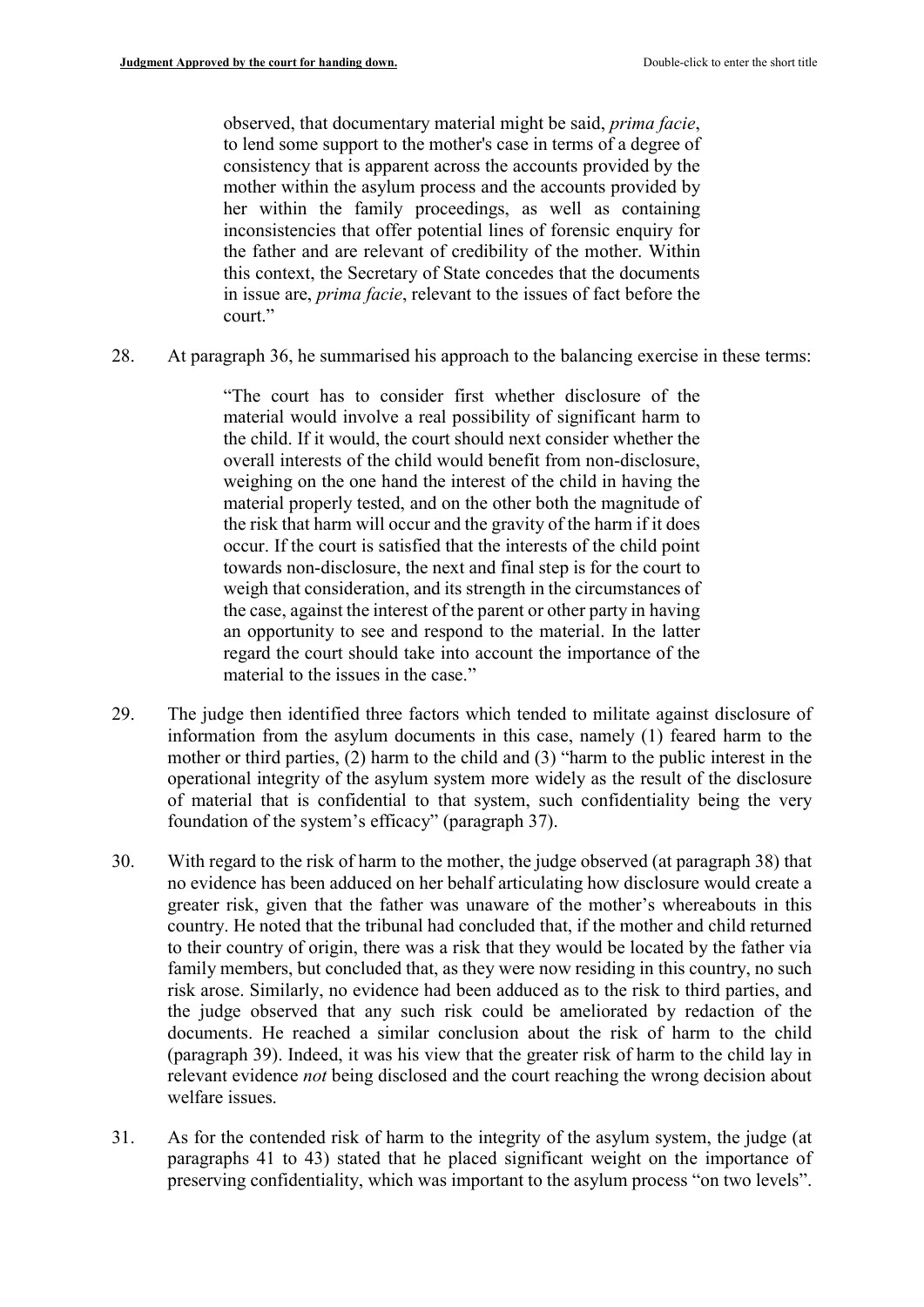observed, that documentary material might be said, prima facie, to lend some support to the mother's case in terms of a degree of consistency that is apparent across the accounts provided by the mother within the asylum process and the accounts provided by her within the family proceedings, as well as containing inconsistencies that offer potential lines of forensic enquiry for the father and are relevant of credibility of the mother. Within this context, the Secretary of State concedes that the documents in issue are, prima facie, relevant to the issues of fact before the court."

28. At paragraph 36, he summarised his approach to the balancing exercise in these terms:

"The court has to consider first whether disclosure of the material would involve a real possibility of significant harm to the child. If it would, the court should next consider whether the overall interests of the child would benefit from non-disclosure, weighing on the one hand the interest of the child in having the material properly tested, and on the other both the magnitude of the risk that harm will occur and the gravity of the harm if it does occur. If the court is satisfied that the interests of the child point towards non-disclosure, the next and final step is for the court to weigh that consideration, and its strength in the circumstances of the case, against the interest of the parent or other party in having an opportunity to see and respond to the material. In the latter regard the court should take into account the importance of the material to the issues in the case."

- 29. The judge then identified three factors which tended to militate against disclosure of information from the asylum documents in this case, namely (1) feared harm to the mother or third parties, (2) harm to the child and (3) "harm to the public interest in the operational integrity of the asylum system more widely as the result of the disclosure of material that is confidential to that system, such confidentiality being the very foundation of the system's efficacy" (paragraph 37).
- 30. With regard to the risk of harm to the mother, the judge observed (at paragraph 38) that no evidence has been adduced on her behalf articulating how disclosure would create a greater risk, given that the father was unaware of the mother's whereabouts in this country. He noted that the tribunal had concluded that, if the mother and child returned to their country of origin, there was a risk that they would be located by the father via family members, but concluded that, as they were now residing in this country, no such risk arose. Similarly, no evidence had been adduced as to the risk to third parties, and the judge observed that any such risk could be ameliorated by redaction of the documents. He reached a similar conclusion about the risk of harm to the child (paragraph 39). Indeed, it was his view that the greater risk of harm to the child lay in relevant evidence *not* being disclosed and the court reaching the wrong decision about welfare issues.
- 31. As for the contended risk of harm to the integrity of the asylum system, the judge (at paragraphs 41 to 43) stated that he placed significant weight on the importance of preserving confidentiality, which was important to the asylum process "on two levels".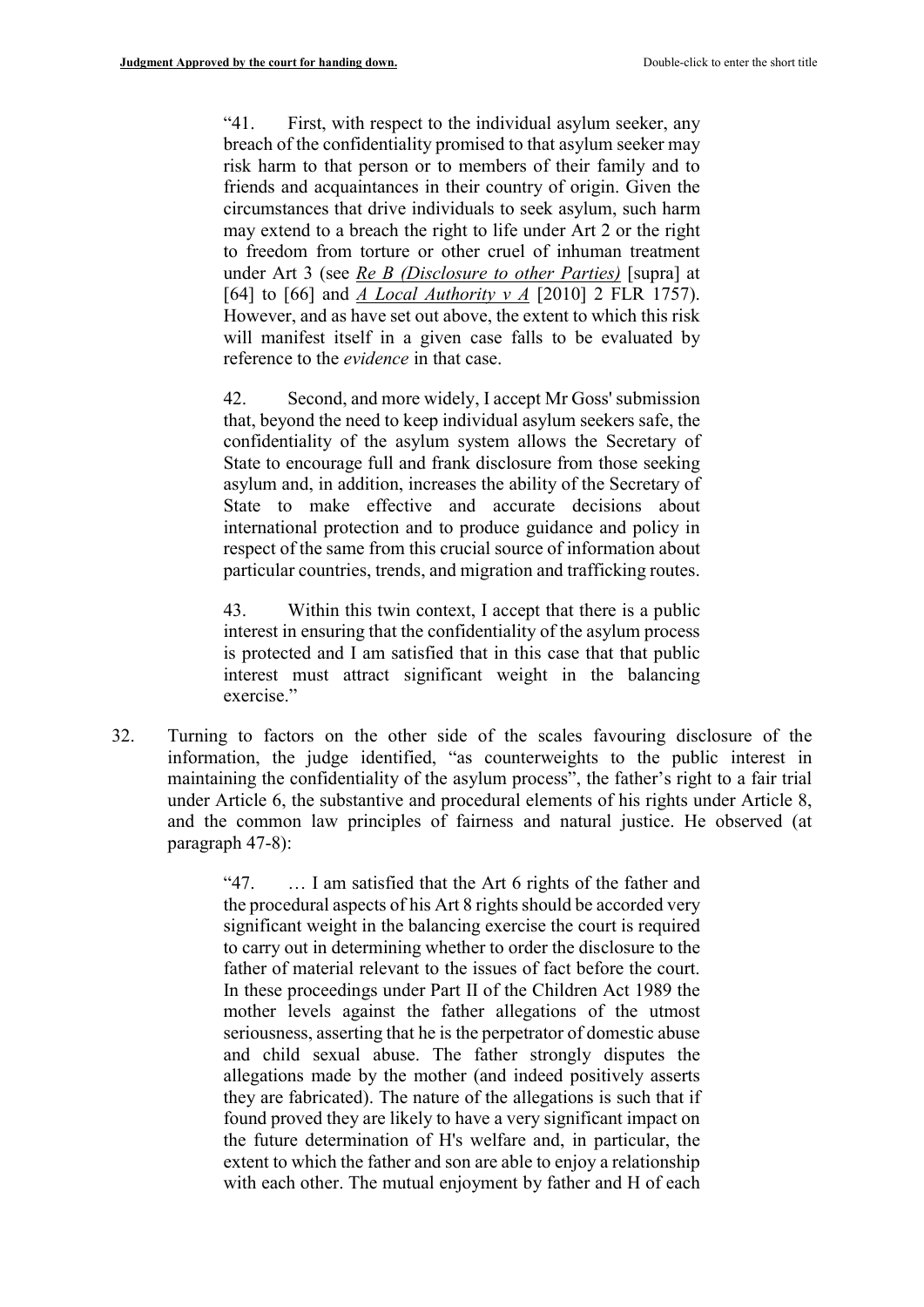"41. First, with respect to the individual asylum seeker, any breach of the confidentiality promised to that asylum seeker may risk harm to that person or to members of their family and to friends and acquaintances in their country of origin. Given the circumstances that drive individuals to seek asylum, such harm may extend to a breach the right to life under Art 2 or the right to freedom from torture or other cruel of inhuman treatment under Art 3 (see Re B (Disclosure to other Parties) [supra] at [64] to [66] and *A Local Authority v A* [2010] 2 FLR 1757). However, and as have set out above, the extent to which this risk will manifest itself in a given case falls to be evaluated by reference to the evidence in that case.

42. Second, and more widely, I accept Mr Goss' submission that, beyond the need to keep individual asylum seekers safe, the confidentiality of the asylum system allows the Secretary of State to encourage full and frank disclosure from those seeking asylum and, in addition, increases the ability of the Secretary of State to make effective and accurate decisions about international protection and to produce guidance and policy in respect of the same from this crucial source of information about particular countries, trends, and migration and trafficking routes.

43. Within this twin context, I accept that there is a public interest in ensuring that the confidentiality of the asylum process is protected and I am satisfied that in this case that that public interest must attract significant weight in the balancing exercise."

32. Turning to factors on the other side of the scales favouring disclosure of the information, the judge identified, "as counterweights to the public interest in maintaining the confidentiality of the asylum process", the father's right to a fair trial under Article 6, the substantive and procedural elements of his rights under Article 8, and the common law principles of fairness and natural justice. He observed (at paragraph 47-8):

> "47. … I am satisfied that the Art 6 rights of the father and the procedural aspects of his Art 8 rights should be accorded very significant weight in the balancing exercise the court is required to carry out in determining whether to order the disclosure to the father of material relevant to the issues of fact before the court. In these proceedings under Part II of the Children Act 1989 the mother levels against the father allegations of the utmost seriousness, asserting that he is the perpetrator of domestic abuse and child sexual abuse. The father strongly disputes the allegations made by the mother (and indeed positively asserts they are fabricated). The nature of the allegations is such that if found proved they are likely to have a very significant impact on the future determination of H's welfare and, in particular, the extent to which the father and son are able to enjoy a relationship with each other. The mutual enjoyment by father and H of each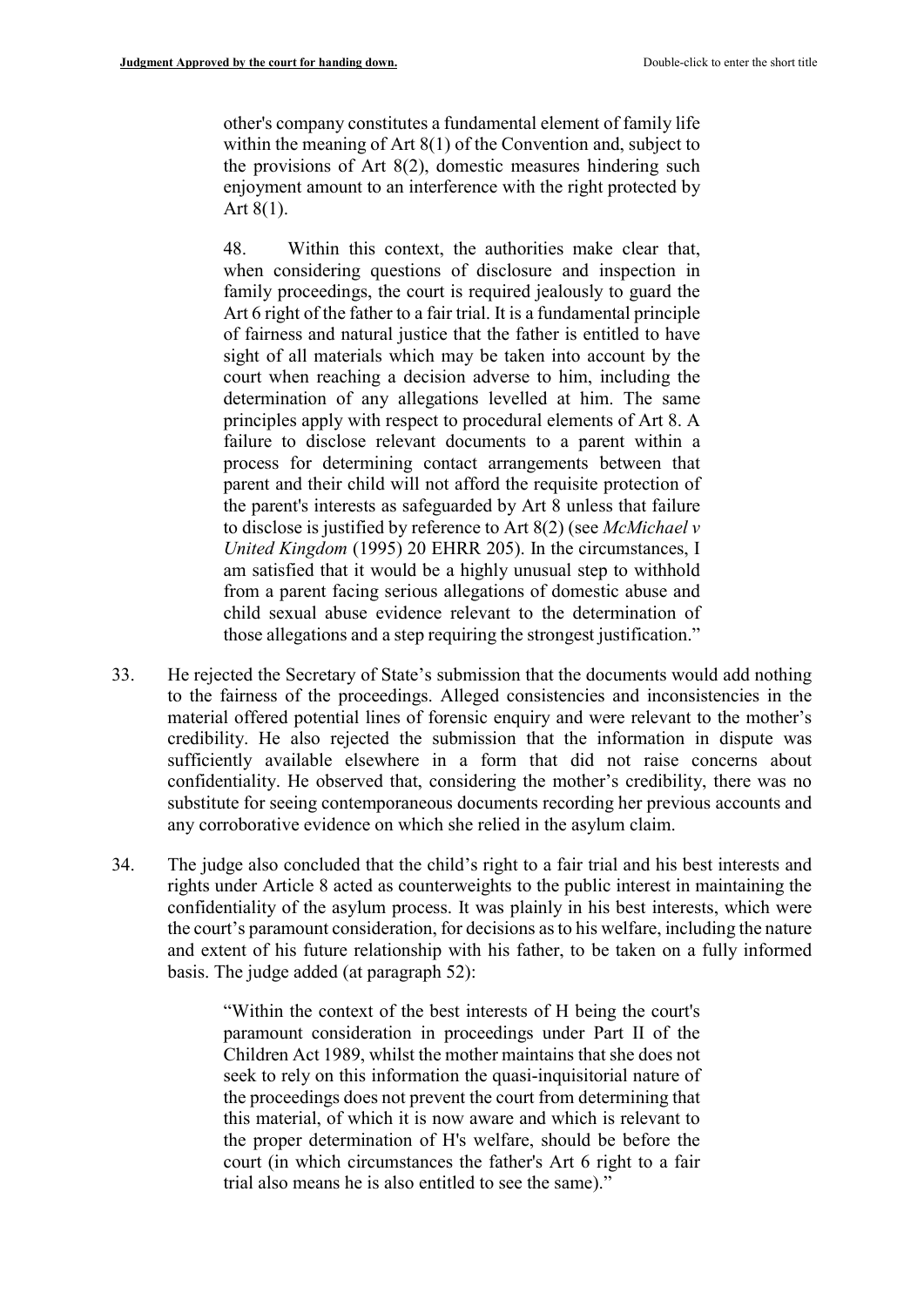other's company constitutes a fundamental element of family life within the meaning of Art 8(1) of the Convention and, subject to the provisions of Art 8(2), domestic measures hindering such enjoyment amount to an interference with the right protected by Art 8(1).

48. Within this context, the authorities make clear that, when considering questions of disclosure and inspection in family proceedings, the court is required jealously to guard the Art 6 right of the father to a fair trial. It is a fundamental principle of fairness and natural justice that the father is entitled to have sight of all materials which may be taken into account by the court when reaching a decision adverse to him, including the determination of any allegations levelled at him. The same principles apply with respect to procedural elements of Art 8. A failure to disclose relevant documents to a parent within a process for determining contact arrangements between that parent and their child will not afford the requisite protection of the parent's interests as safeguarded by Art 8 unless that failure to disclose is justified by reference to Art 8(2) (see McMichael v United Kingdom (1995) 20 EHRR 205). In the circumstances, I am satisfied that it would be a highly unusual step to withhold from a parent facing serious allegations of domestic abuse and child sexual abuse evidence relevant to the determination of those allegations and a step requiring the strongest justification."

- 33. He rejected the Secretary of State's submission that the documents would add nothing to the fairness of the proceedings. Alleged consistencies and inconsistencies in the material offered potential lines of forensic enquiry and were relevant to the mother's credibility. He also rejected the submission that the information in dispute was sufficiently available elsewhere in a form that did not raise concerns about confidentiality. He observed that, considering the mother's credibility, there was no substitute for seeing contemporaneous documents recording her previous accounts and any corroborative evidence on which she relied in the asylum claim.
- 34. The judge also concluded that the child's right to a fair trial and his best interests and rights under Article 8 acted as counterweights to the public interest in maintaining the confidentiality of the asylum process. It was plainly in his best interests, which were the court's paramount consideration, for decisions as to his welfare, including the nature and extent of his future relationship with his father, to be taken on a fully informed basis. The judge added (at paragraph 52):

"Within the context of the best interests of H being the court's paramount consideration in proceedings under Part II of the Children Act 1989, whilst the mother maintains that she does not seek to rely on this information the quasi-inquisitorial nature of the proceedings does not prevent the court from determining that this material, of which it is now aware and which is relevant to the proper determination of H's welfare, should be before the court (in which circumstances the father's Art 6 right to a fair trial also means he is also entitled to see the same)."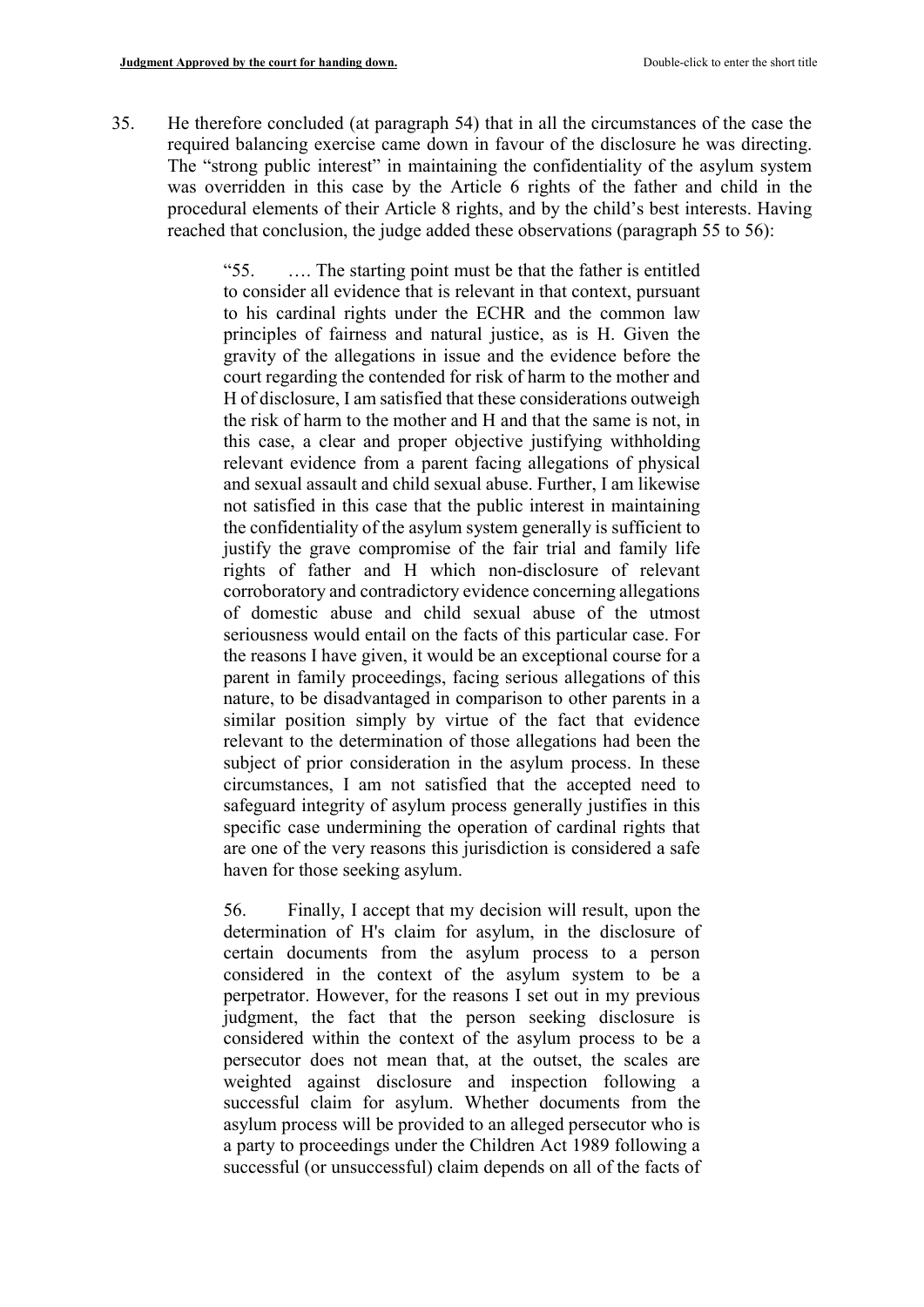35. He therefore concluded (at paragraph 54) that in all the circumstances of the case the required balancing exercise came down in favour of the disclosure he was directing. The "strong public interest" in maintaining the confidentiality of the asylum system was overridden in this case by the Article 6 rights of the father and child in the procedural elements of their Article 8 rights, and by the child's best interests. Having reached that conclusion, the judge added these observations (paragraph 55 to 56):

> "55. …. The starting point must be that the father is entitled to consider all evidence that is relevant in that context, pursuant to his cardinal rights under the ECHR and the common law principles of fairness and natural justice, as is H. Given the gravity of the allegations in issue and the evidence before the court regarding the contended for risk of harm to the mother and H of disclosure, I am satisfied that these considerations outweigh the risk of harm to the mother and H and that the same is not, in this case, a clear and proper objective justifying withholding relevant evidence from a parent facing allegations of physical and sexual assault and child sexual abuse. Further, I am likewise not satisfied in this case that the public interest in maintaining the confidentiality of the asylum system generally is sufficient to justify the grave compromise of the fair trial and family life rights of father and H which non-disclosure of relevant corroboratory and contradictory evidence concerning allegations of domestic abuse and child sexual abuse of the utmost seriousness would entail on the facts of this particular case. For the reasons I have given, it would be an exceptional course for a parent in family proceedings, facing serious allegations of this nature, to be disadvantaged in comparison to other parents in a similar position simply by virtue of the fact that evidence relevant to the determination of those allegations had been the subject of prior consideration in the asylum process. In these circumstances, I am not satisfied that the accepted need to safeguard integrity of asylum process generally justifies in this specific case undermining the operation of cardinal rights that are one of the very reasons this jurisdiction is considered a safe haven for those seeking asylum.

> 56. Finally, I accept that my decision will result, upon the determination of H's claim for asylum, in the disclosure of certain documents from the asylum process to a person considered in the context of the asylum system to be a perpetrator. However, for the reasons I set out in my previous judgment, the fact that the person seeking disclosure is considered within the context of the asylum process to be a persecutor does not mean that, at the outset, the scales are weighted against disclosure and inspection following a successful claim for asylum. Whether documents from the asylum process will be provided to an alleged persecutor who is a party to proceedings under the Children Act 1989 following a successful (or unsuccessful) claim depends on all of the facts of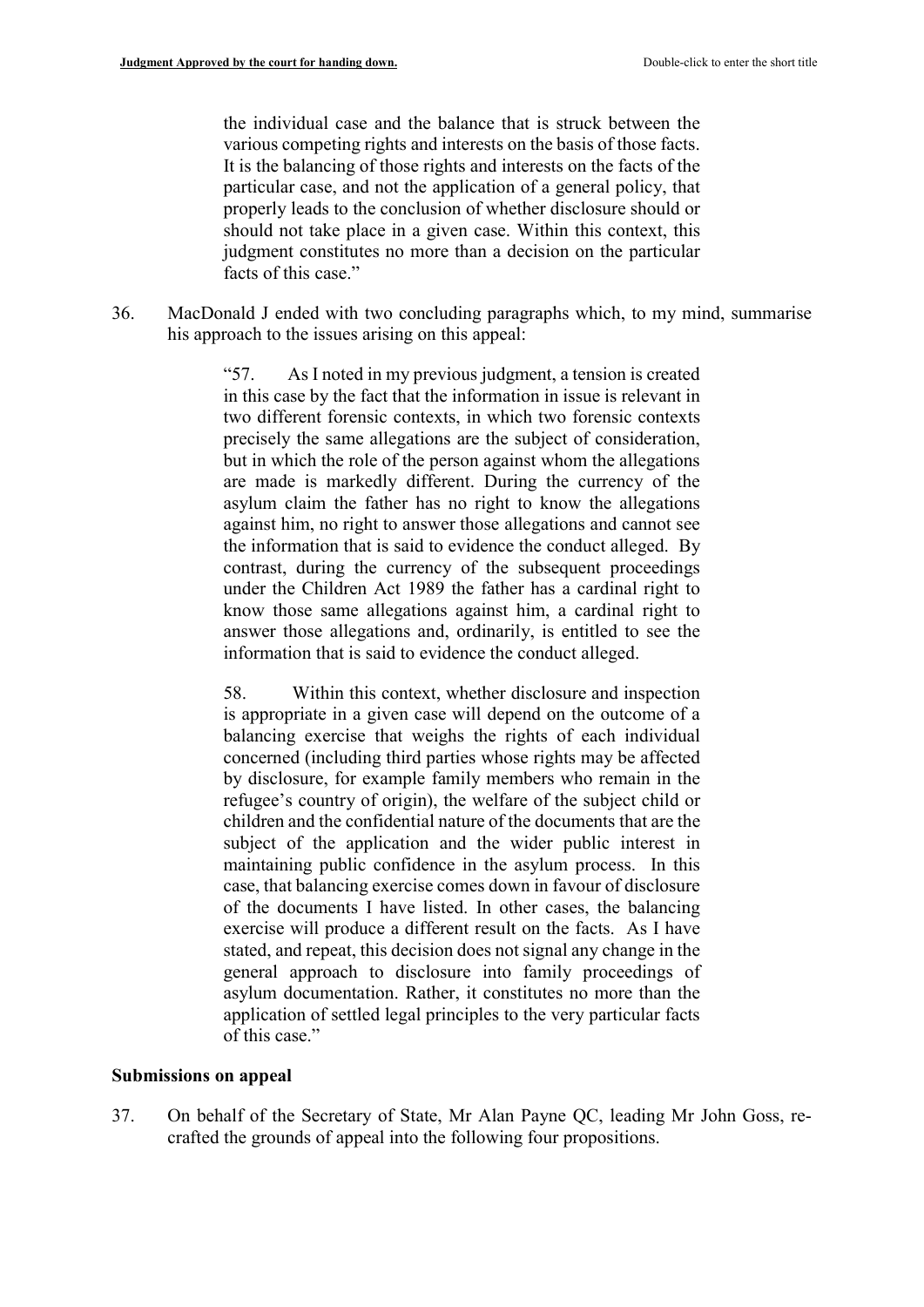the individual case and the balance that is struck between the various competing rights and interests on the basis of those facts. It is the balancing of those rights and interests on the facts of the particular case, and not the application of a general policy, that properly leads to the conclusion of whether disclosure should or should not take place in a given case. Within this context, this judgment constitutes no more than a decision on the particular facts of this case."

36. MacDonald J ended with two concluding paragraphs which, to my mind, summarise his approach to the issues arising on this appeal:

> "57. As I noted in my previous judgment, a tension is created in this case by the fact that the information in issue is relevant in two different forensic contexts, in which two forensic contexts precisely the same allegations are the subject of consideration, but in which the role of the person against whom the allegations are made is markedly different. During the currency of the asylum claim the father has no right to know the allegations against him, no right to answer those allegations and cannot see the information that is said to evidence the conduct alleged. By contrast, during the currency of the subsequent proceedings under the Children Act 1989 the father has a cardinal right to know those same allegations against him, a cardinal right to answer those allegations and, ordinarily, is entitled to see the information that is said to evidence the conduct alleged.

> 58. Within this context, whether disclosure and inspection is appropriate in a given case will depend on the outcome of a balancing exercise that weighs the rights of each individual concerned (including third parties whose rights may be affected by disclosure, for example family members who remain in the refugee's country of origin), the welfare of the subject child or children and the confidential nature of the documents that are the subject of the application and the wider public interest in maintaining public confidence in the asylum process. In this case, that balancing exercise comes down in favour of disclosure of the documents I have listed. In other cases, the balancing exercise will produce a different result on the facts. As I have stated, and repeat, this decision does not signal any change in the general approach to disclosure into family proceedings of asylum documentation. Rather, it constitutes no more than the application of settled legal principles to the very particular facts of this case."

#### Submissions on appeal

37. On behalf of the Secretary of State, Mr Alan Payne QC, leading Mr John Goss, recrafted the grounds of appeal into the following four propositions.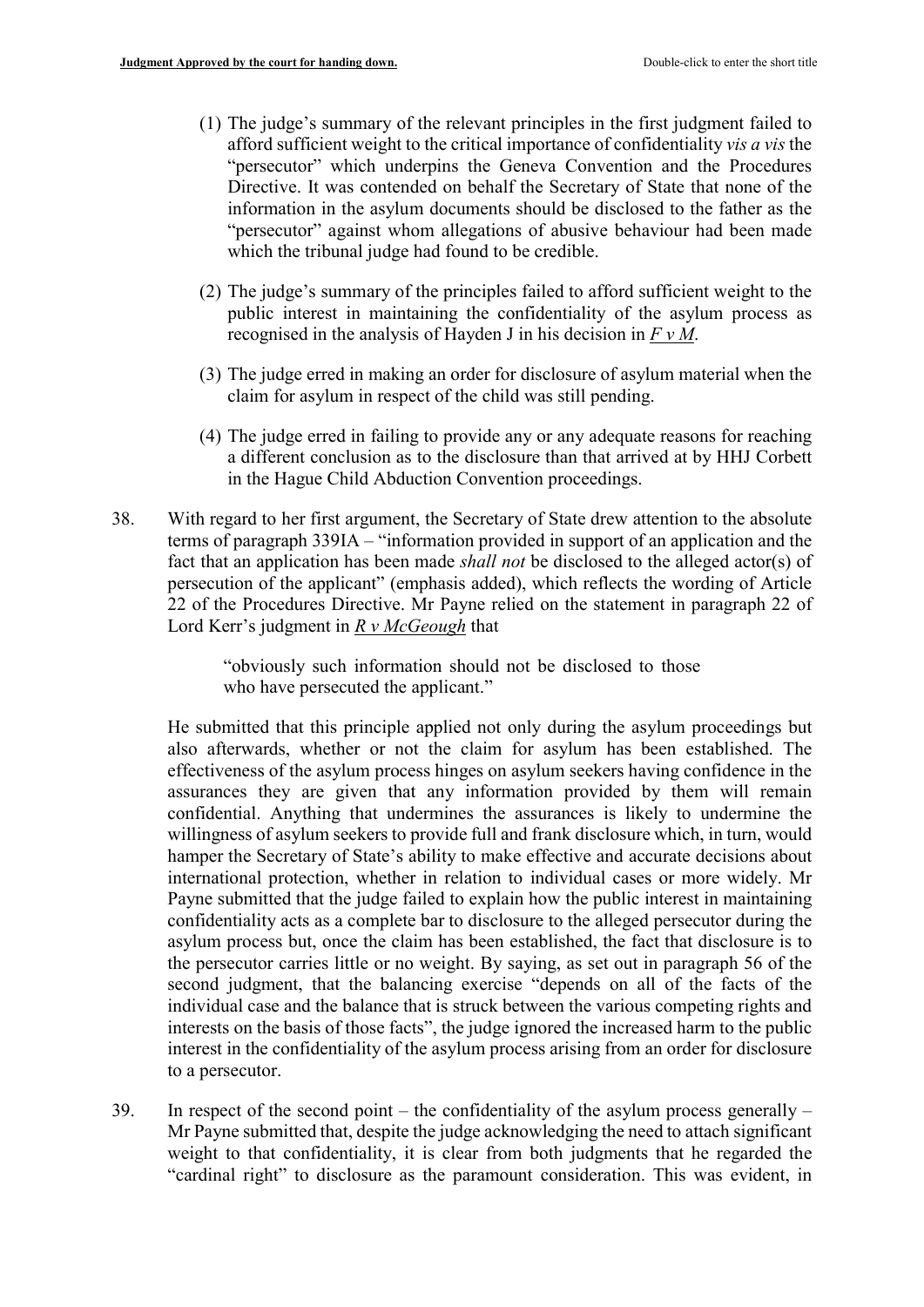- (1) The judge's summary of the relevant principles in the first judgment failed to afford sufficient weight to the critical importance of confidentiality vis a vis the "persecutor" which underpins the Geneva Convention and the Procedures Directive. It was contended on behalf the Secretary of State that none of the information in the asylum documents should be disclosed to the father as the "persecutor" against whom allegations of abusive behaviour had been made which the tribunal judge had found to be credible.
- (2) The judge's summary of the principles failed to afford sufficient weight to the public interest in maintaining the confidentiality of the asylum process as recognised in the analysis of Hayden J in his decision in  $F v M$ .
- (3) The judge erred in making an order for disclosure of asylum material when the claim for asylum in respect of the child was still pending.
- (4) The judge erred in failing to provide any or any adequate reasons for reaching a different conclusion as to the disclosure than that arrived at by HHJ Corbett in the Hague Child Abduction Convention proceedings.
- 38. With regard to her first argument, the Secretary of State drew attention to the absolute terms of paragraph 339IA – "information provided in support of an application and the fact that an application has been made shall not be disclosed to the alleged actor(s) of persecution of the applicant" (emphasis added), which reflects the wording of Article 22 of the Procedures Directive. Mr Payne relied on the statement in paragraph 22 of Lord Kerr's judgment in  $R v$  McGeough that

"obviously such information should not be disclosed to those who have persecuted the applicant."

 He submitted that this principle applied not only during the asylum proceedings but also afterwards, whether or not the claim for asylum has been established. The effectiveness of the asylum process hinges on asylum seekers having confidence in the assurances they are given that any information provided by them will remain confidential. Anything that undermines the assurances is likely to undermine the willingness of asylum seekers to provide full and frank disclosure which, in turn, would hamper the Secretary of State's ability to make effective and accurate decisions about international protection, whether in relation to individual cases or more widely. Mr Payne submitted that the judge failed to explain how the public interest in maintaining confidentiality acts as a complete bar to disclosure to the alleged persecutor during the asylum process but, once the claim has been established, the fact that disclosure is to the persecutor carries little or no weight. By saying, as set out in paragraph 56 of the second judgment, that the balancing exercise "depends on all of the facts of the individual case and the balance that is struck between the various competing rights and interests on the basis of those facts", the judge ignored the increased harm to the public interest in the confidentiality of the asylum process arising from an order for disclosure to a persecutor.

39. In respect of the second point – the confidentiality of the asylum process generally – Mr Payne submitted that, despite the judge acknowledging the need to attach significant weight to that confidentiality, it is clear from both judgments that he regarded the "cardinal right" to disclosure as the paramount consideration. This was evident, in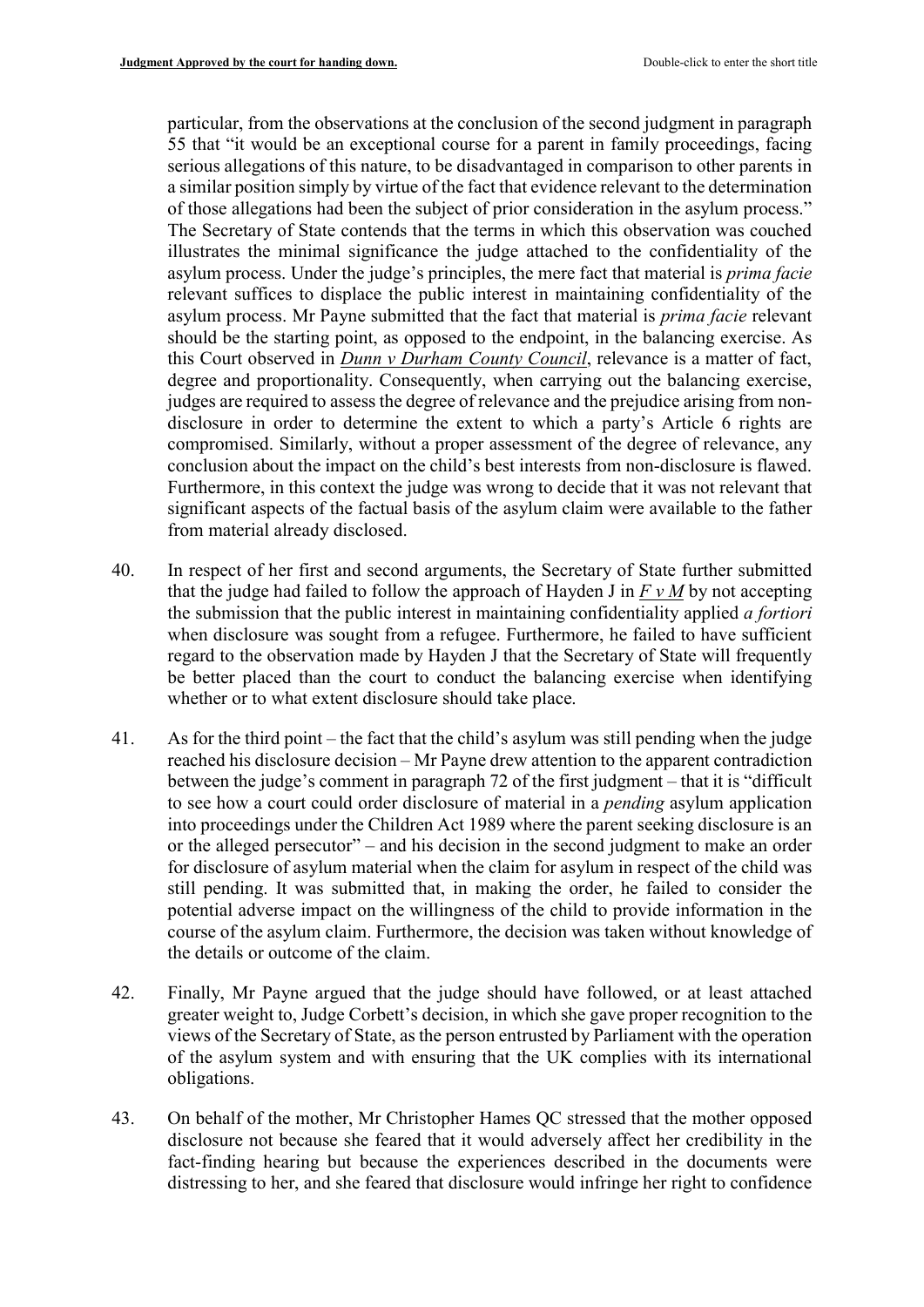particular, from the observations at the conclusion of the second judgment in paragraph 55 that "it would be an exceptional course for a parent in family proceedings, facing serious allegations of this nature, to be disadvantaged in comparison to other parents in a similar position simply by virtue of the fact that evidence relevant to the determination of those allegations had been the subject of prior consideration in the asylum process." The Secretary of State contends that the terms in which this observation was couched illustrates the minimal significance the judge attached to the confidentiality of the asylum process. Under the judge's principles, the mere fact that material is prima facie relevant suffices to displace the public interest in maintaining confidentiality of the asylum process. Mr Payne submitted that the fact that material is prima facie relevant should be the starting point, as opposed to the endpoint, in the balancing exercise. As this Court observed in Dunn v Durham County Council, relevance is a matter of fact, degree and proportionality. Consequently, when carrying out the balancing exercise, judges are required to assess the degree of relevance and the prejudice arising from nondisclosure in order to determine the extent to which a party's Article 6 rights are compromised. Similarly, without a proper assessment of the degree of relevance, any conclusion about the impact on the child's best interests from non-disclosure is flawed. Furthermore, in this context the judge was wrong to decide that it was not relevant that significant aspects of the factual basis of the asylum claim were available to the father from material already disclosed.

- 40. In respect of her first and second arguments, the Secretary of State further submitted that the judge had failed to follow the approach of Hayden J in  $F v M$  by not accepting the submission that the public interest in maintaining confidentiality applied a fortiori when disclosure was sought from a refugee. Furthermore, he failed to have sufficient regard to the observation made by Hayden J that the Secretary of State will frequently be better placed than the court to conduct the balancing exercise when identifying whether or to what extent disclosure should take place.
- 41. As for the third point the fact that the child's asylum was still pending when the judge reached his disclosure decision – Mr Payne drew attention to the apparent contradiction between the judge's comment in paragraph 72 of the first judgment – that it is "difficult to see how a court could order disclosure of material in a *pending* asylum application into proceedings under the Children Act 1989 where the parent seeking disclosure is an or the alleged persecutor" – and his decision in the second judgment to make an order for disclosure of asylum material when the claim for asylum in respect of the child was still pending. It was submitted that, in making the order, he failed to consider the potential adverse impact on the willingness of the child to provide information in the course of the asylum claim. Furthermore, the decision was taken without knowledge of the details or outcome of the claim.
- 42. Finally, Mr Payne argued that the judge should have followed, or at least attached greater weight to, Judge Corbett's decision, in which she gave proper recognition to the views of the Secretary of State, as the person entrusted by Parliament with the operation of the asylum system and with ensuring that the UK complies with its international obligations.
- 43. On behalf of the mother, Mr Christopher Hames QC stressed that the mother opposed disclosure not because she feared that it would adversely affect her credibility in the fact-finding hearing but because the experiences described in the documents were distressing to her, and she feared that disclosure would infringe her right to confidence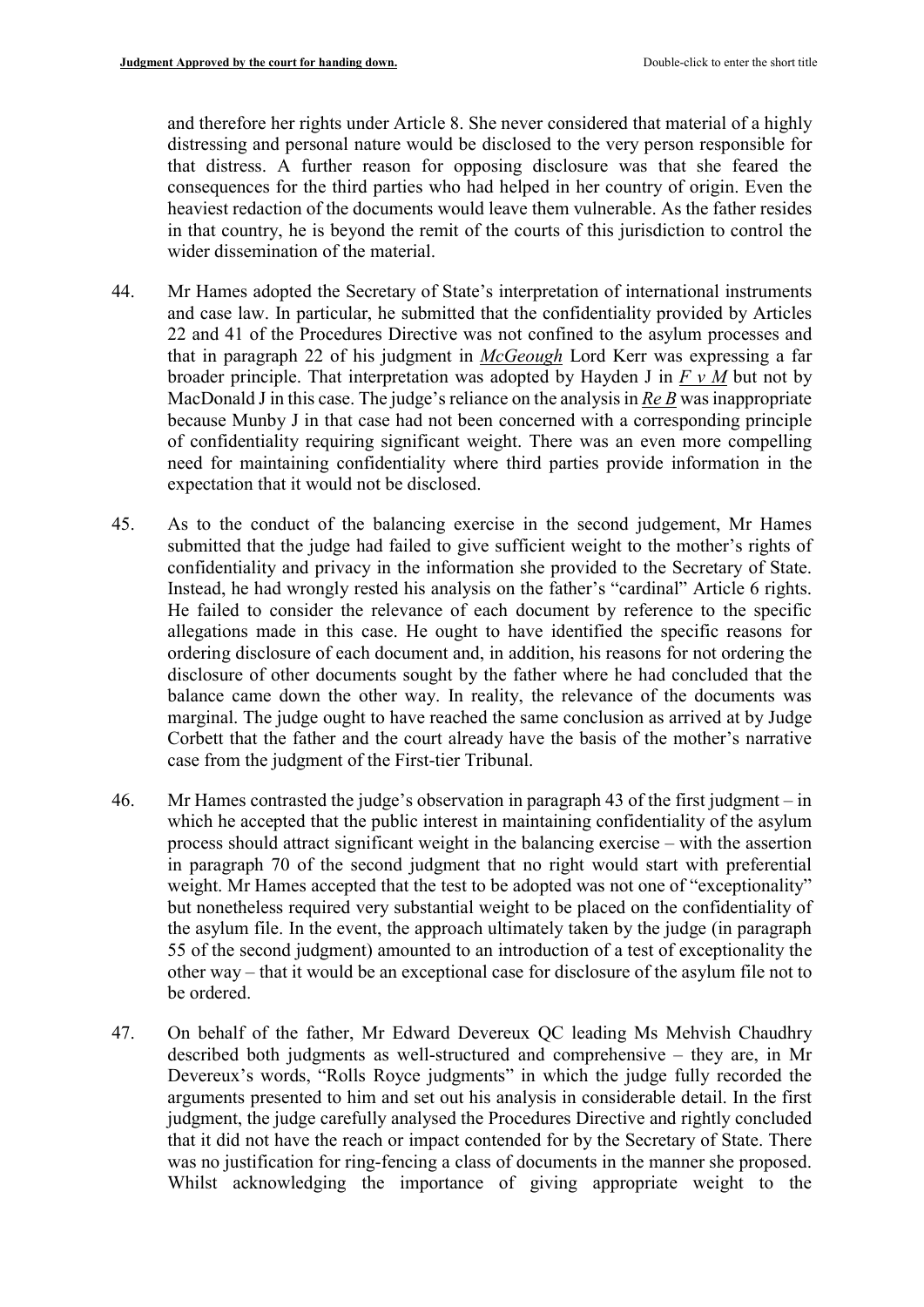and therefore her rights under Article 8. She never considered that material of a highly distressing and personal nature would be disclosed to the very person responsible for that distress. A further reason for opposing disclosure was that she feared the consequences for the third parties who had helped in her country of origin. Even the heaviest redaction of the documents would leave them vulnerable. As the father resides in that country, he is beyond the remit of the courts of this jurisdiction to control the wider dissemination of the material.

- 44. Mr Hames adopted the Secretary of State's interpretation of international instruments and case law. In particular, he submitted that the confidentiality provided by Articles 22 and 41 of the Procedures Directive was not confined to the asylum processes and that in paragraph 22 of his judgment in McGeough Lord Kerr was expressing a far broader principle. That interpretation was adopted by Hayden J in  $F v M$  but not by MacDonald J in this case. The judge's reliance on the analysis in Re B was inappropriate because Munby J in that case had not been concerned with a corresponding principle of confidentiality requiring significant weight. There was an even more compelling need for maintaining confidentiality where third parties provide information in the expectation that it would not be disclosed.
- 45. As to the conduct of the balancing exercise in the second judgement, Mr Hames submitted that the judge had failed to give sufficient weight to the mother's rights of confidentiality and privacy in the information she provided to the Secretary of State. Instead, he had wrongly rested his analysis on the father's "cardinal" Article 6 rights. He failed to consider the relevance of each document by reference to the specific allegations made in this case. He ought to have identified the specific reasons for ordering disclosure of each document and, in addition, his reasons for not ordering the disclosure of other documents sought by the father where he had concluded that the balance came down the other way. In reality, the relevance of the documents was marginal. The judge ought to have reached the same conclusion as arrived at by Judge Corbett that the father and the court already have the basis of the mother's narrative case from the judgment of the First-tier Tribunal.
- 46. Mr Hames contrasted the judge's observation in paragraph 43 of the first judgment in which he accepted that the public interest in maintaining confidentiality of the asylum process should attract significant weight in the balancing exercise – with the assertion in paragraph 70 of the second judgment that no right would start with preferential weight. Mr Hames accepted that the test to be adopted was not one of "exceptionality" but nonetheless required very substantial weight to be placed on the confidentiality of the asylum file. In the event, the approach ultimately taken by the judge (in paragraph 55 of the second judgment) amounted to an introduction of a test of exceptionality the other way – that it would be an exceptional case for disclosure of the asylum file not to be ordered.
- 47. On behalf of the father, Mr Edward Devereux QC leading Ms Mehvish Chaudhry described both judgments as well-structured and comprehensive – they are, in Mr Devereux's words, "Rolls Royce judgments" in which the judge fully recorded the arguments presented to him and set out his analysis in considerable detail. In the first judgment, the judge carefully analysed the Procedures Directive and rightly concluded that it did not have the reach or impact contended for by the Secretary of State. There was no justification for ring-fencing a class of documents in the manner she proposed. Whilst acknowledging the importance of giving appropriate weight to the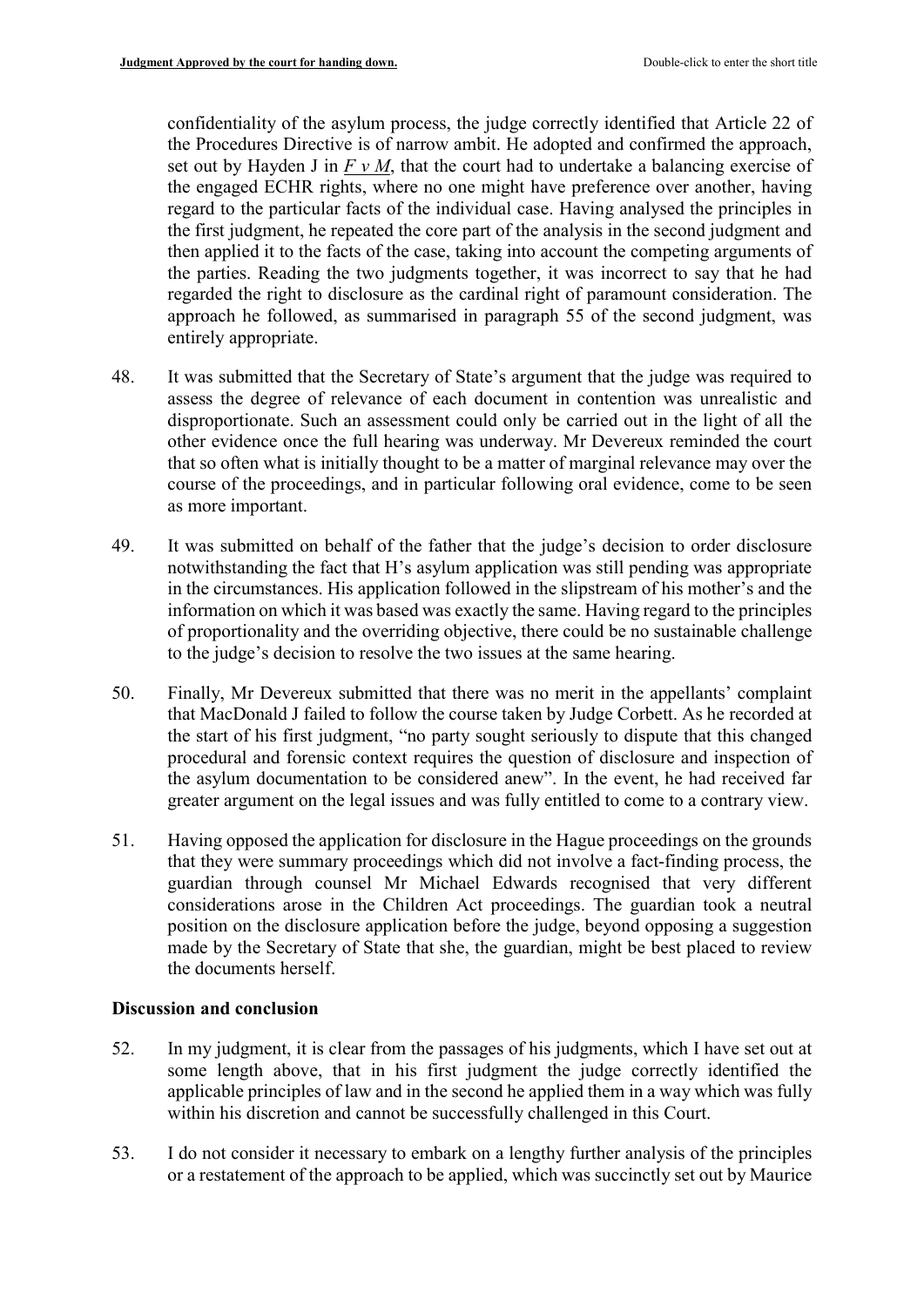confidentiality of the asylum process, the judge correctly identified that Article 22 of the Procedures Directive is of narrow ambit. He adopted and confirmed the approach, set out by Hayden J in  $F v M$ , that the court had to undertake a balancing exercise of the engaged ECHR rights, where no one might have preference over another, having regard to the particular facts of the individual case. Having analysed the principles in the first judgment, he repeated the core part of the analysis in the second judgment and then applied it to the facts of the case, taking into account the competing arguments of the parties. Reading the two judgments together, it was incorrect to say that he had regarded the right to disclosure as the cardinal right of paramount consideration. The approach he followed, as summarised in paragraph 55 of the second judgment, was entirely appropriate.

- 48. It was submitted that the Secretary of State's argument that the judge was required to assess the degree of relevance of each document in contention was unrealistic and disproportionate. Such an assessment could only be carried out in the light of all the other evidence once the full hearing was underway. Mr Devereux reminded the court that so often what is initially thought to be a matter of marginal relevance may over the course of the proceedings, and in particular following oral evidence, come to be seen as more important.
- 49. It was submitted on behalf of the father that the judge's decision to order disclosure notwithstanding the fact that H's asylum application was still pending was appropriate in the circumstances. His application followed in the slipstream of his mother's and the information on which it was based was exactly the same. Having regard to the principles of proportionality and the overriding objective, there could be no sustainable challenge to the judge's decision to resolve the two issues at the same hearing.
- 50. Finally, Mr Devereux submitted that there was no merit in the appellants' complaint that MacDonald J failed to follow the course taken by Judge Corbett. As he recorded at the start of his first judgment, "no party sought seriously to dispute that this changed procedural and forensic context requires the question of disclosure and inspection of the asylum documentation to be considered anew". In the event, he had received far greater argument on the legal issues and was fully entitled to come to a contrary view.
- 51. Having opposed the application for disclosure in the Hague proceedings on the grounds that they were summary proceedings which did not involve a fact-finding process, the guardian through counsel Mr Michael Edwards recognised that very different considerations arose in the Children Act proceedings. The guardian took a neutral position on the disclosure application before the judge, beyond opposing a suggestion made by the Secretary of State that she, the guardian, might be best placed to review the documents herself.

# Discussion and conclusion

- 52. In my judgment, it is clear from the passages of his judgments, which I have set out at some length above, that in his first judgment the judge correctly identified the applicable principles of law and in the second he applied them in a way which was fully within his discretion and cannot be successfully challenged in this Court.
- 53. I do not consider it necessary to embark on a lengthy further analysis of the principles or a restatement of the approach to be applied, which was succinctly set out by Maurice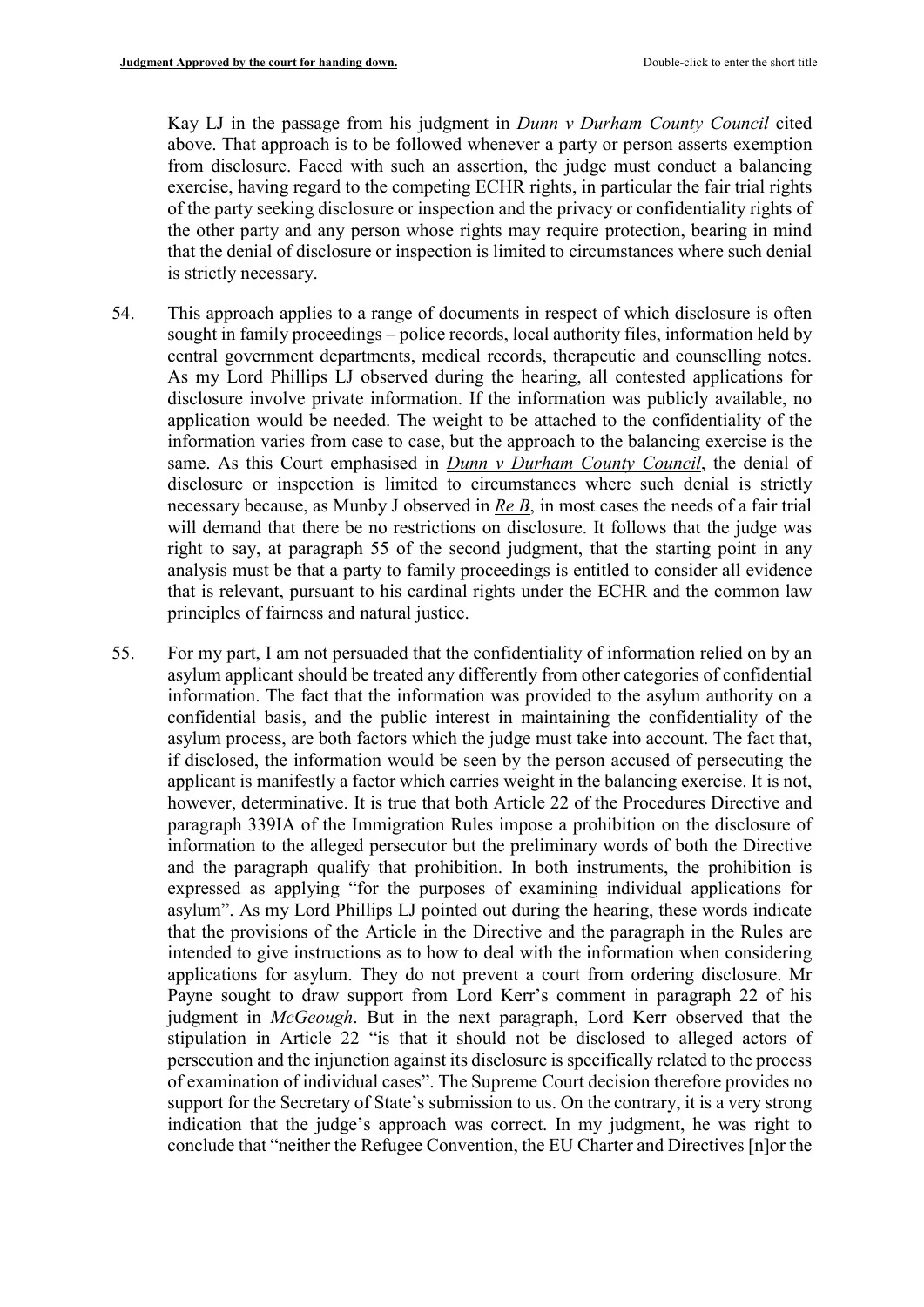Kay LJ in the passage from his judgment in Dunn v Durham County Council cited above. That approach is to be followed whenever a party or person asserts exemption from disclosure. Faced with such an assertion, the judge must conduct a balancing exercise, having regard to the competing ECHR rights, in particular the fair trial rights of the party seeking disclosure or inspection and the privacy or confidentiality rights of the other party and any person whose rights may require protection, bearing in mind that the denial of disclosure or inspection is limited to circumstances where such denial is strictly necessary.

- 54. This approach applies to a range of documents in respect of which disclosure is often sought in family proceedings – police records, local authority files, information held by central government departments, medical records, therapeutic and counselling notes. As my Lord Phillips LJ observed during the hearing, all contested applications for disclosure involve private information. If the information was publicly available, no application would be needed. The weight to be attached to the confidentiality of the information varies from case to case, but the approach to the balancing exercise is the same. As this Court emphasised in *Dunn v Durham County Council*, the denial of disclosure or inspection is limited to circumstances where such denial is strictly necessary because, as Munby J observed in <u>Re B</u>, in most cases the needs of a fair trial will demand that there be no restrictions on disclosure. It follows that the judge was right to say, at paragraph 55 of the second judgment, that the starting point in any analysis must be that a party to family proceedings is entitled to consider all evidence that is relevant, pursuant to his cardinal rights under the ECHR and the common law principles of fairness and natural justice.
- 55. For my part, I am not persuaded that the confidentiality of information relied on by an asylum applicant should be treated any differently from other categories of confidential information. The fact that the information was provided to the asylum authority on a confidential basis, and the public interest in maintaining the confidentiality of the asylum process, are both factors which the judge must take into account. The fact that, if disclosed, the information would be seen by the person accused of persecuting the applicant is manifestly a factor which carries weight in the balancing exercise. It is not, however, determinative. It is true that both Article 22 of the Procedures Directive and paragraph 339IA of the Immigration Rules impose a prohibition on the disclosure of information to the alleged persecutor but the preliminary words of both the Directive and the paragraph qualify that prohibition. In both instruments, the prohibition is expressed as applying "for the purposes of examining individual applications for asylum". As my Lord Phillips LJ pointed out during the hearing, these words indicate that the provisions of the Article in the Directive and the paragraph in the Rules are intended to give instructions as to how to deal with the information when considering applications for asylum. They do not prevent a court from ordering disclosure. Mr Payne sought to draw support from Lord Kerr's comment in paragraph 22 of his judgment in *McGeough*. But in the next paragraph, Lord Kerr observed that the stipulation in Article 22 "is that it should not be disclosed to alleged actors of persecution and the injunction against its disclosure is specifically related to the process of examination of individual cases". The Supreme Court decision therefore provides no support for the Secretary of State's submission to us. On the contrary, it is a very strong indication that the judge's approach was correct. In my judgment, he was right to conclude that "neither the Refugee Convention, the EU Charter and Directives [n]or the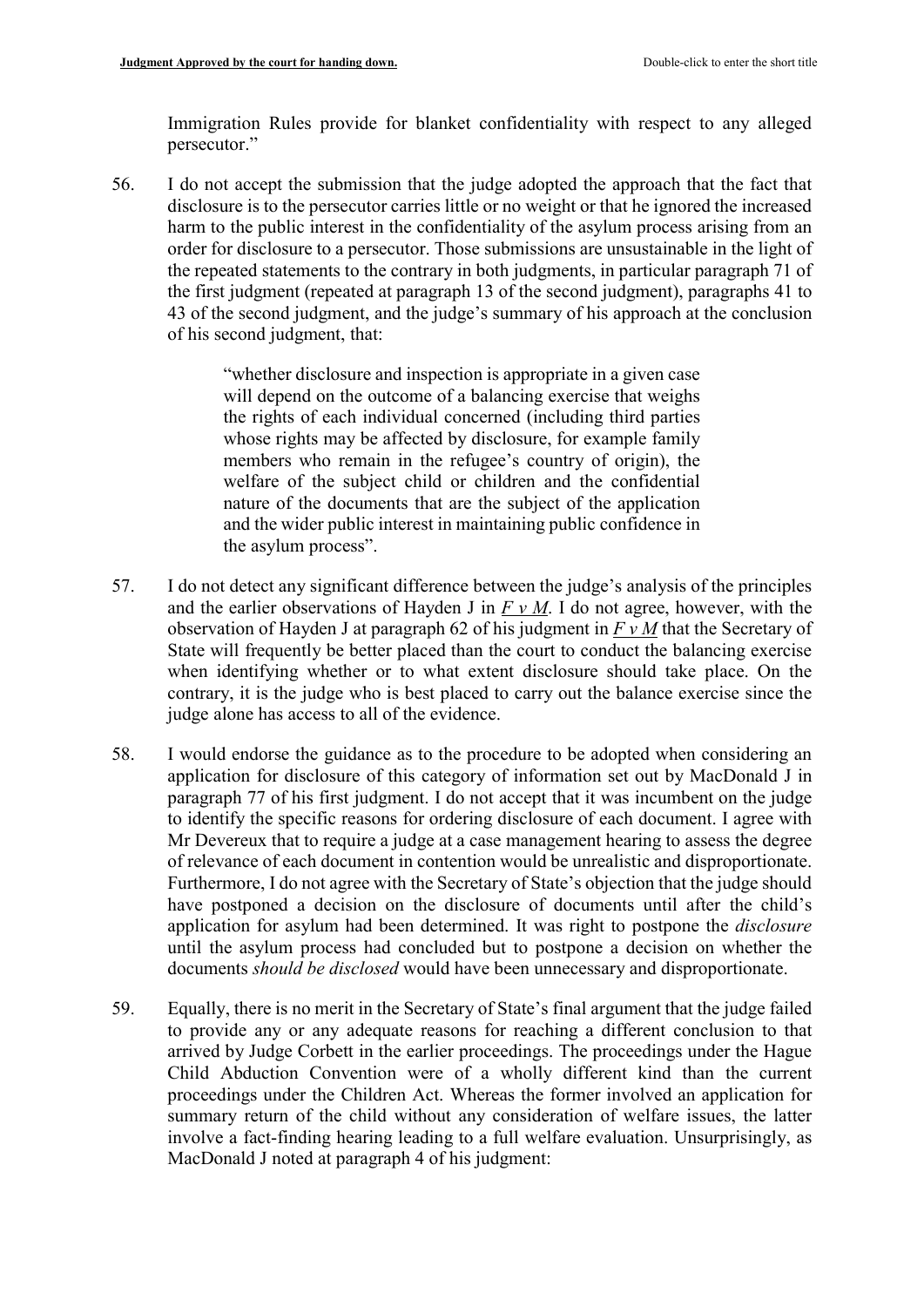Immigration Rules provide for blanket confidentiality with respect to any alleged persecutor."

56. I do not accept the submission that the judge adopted the approach that the fact that disclosure is to the persecutor carries little or no weight or that he ignored the increased harm to the public interest in the confidentiality of the asylum process arising from an order for disclosure to a persecutor. Those submissions are unsustainable in the light of the repeated statements to the contrary in both judgments, in particular paragraph 71 of the first judgment (repeated at paragraph 13 of the second judgment), paragraphs 41 to 43 of the second judgment, and the judge's summary of his approach at the conclusion of his second judgment, that:

> "whether disclosure and inspection is appropriate in a given case will depend on the outcome of a balancing exercise that weighs the rights of each individual concerned (including third parties whose rights may be affected by disclosure, for example family members who remain in the refugee's country of origin), the welfare of the subject child or children and the confidential nature of the documents that are the subject of the application and the wider public interest in maintaining public confidence in the asylum process".

- 57. I do not detect any significant difference between the judge's analysis of the principles and the earlier observations of Hayden J in  $F v M$ . I do not agree, however, with the observation of Hayden J at paragraph 62 of his judgment in  $F v M$  that the Secretary of State will frequently be better placed than the court to conduct the balancing exercise when identifying whether or to what extent disclosure should take place. On the contrary, it is the judge who is best placed to carry out the balance exercise since the judge alone has access to all of the evidence.
- 58. I would endorse the guidance as to the procedure to be adopted when considering an application for disclosure of this category of information set out by MacDonald J in paragraph 77 of his first judgment. I do not accept that it was incumbent on the judge to identify the specific reasons for ordering disclosure of each document. I agree with Mr Devereux that to require a judge at a case management hearing to assess the degree of relevance of each document in contention would be unrealistic and disproportionate. Furthermore, I do not agree with the Secretary of State's objection that the judge should have postponed a decision on the disclosure of documents until after the child's application for asylum had been determined. It was right to postpone the disclosure until the asylum process had concluded but to postpone a decision on whether the documents should be disclosed would have been unnecessary and disproportionate.
- 59. Equally, there is no merit in the Secretary of State's final argument that the judge failed to provide any or any adequate reasons for reaching a different conclusion to that arrived by Judge Corbett in the earlier proceedings. The proceedings under the Hague Child Abduction Convention were of a wholly different kind than the current proceedings under the Children Act. Whereas the former involved an application for summary return of the child without any consideration of welfare issues, the latter involve a fact-finding hearing leading to a full welfare evaluation. Unsurprisingly, as MacDonald J noted at paragraph 4 of his judgment: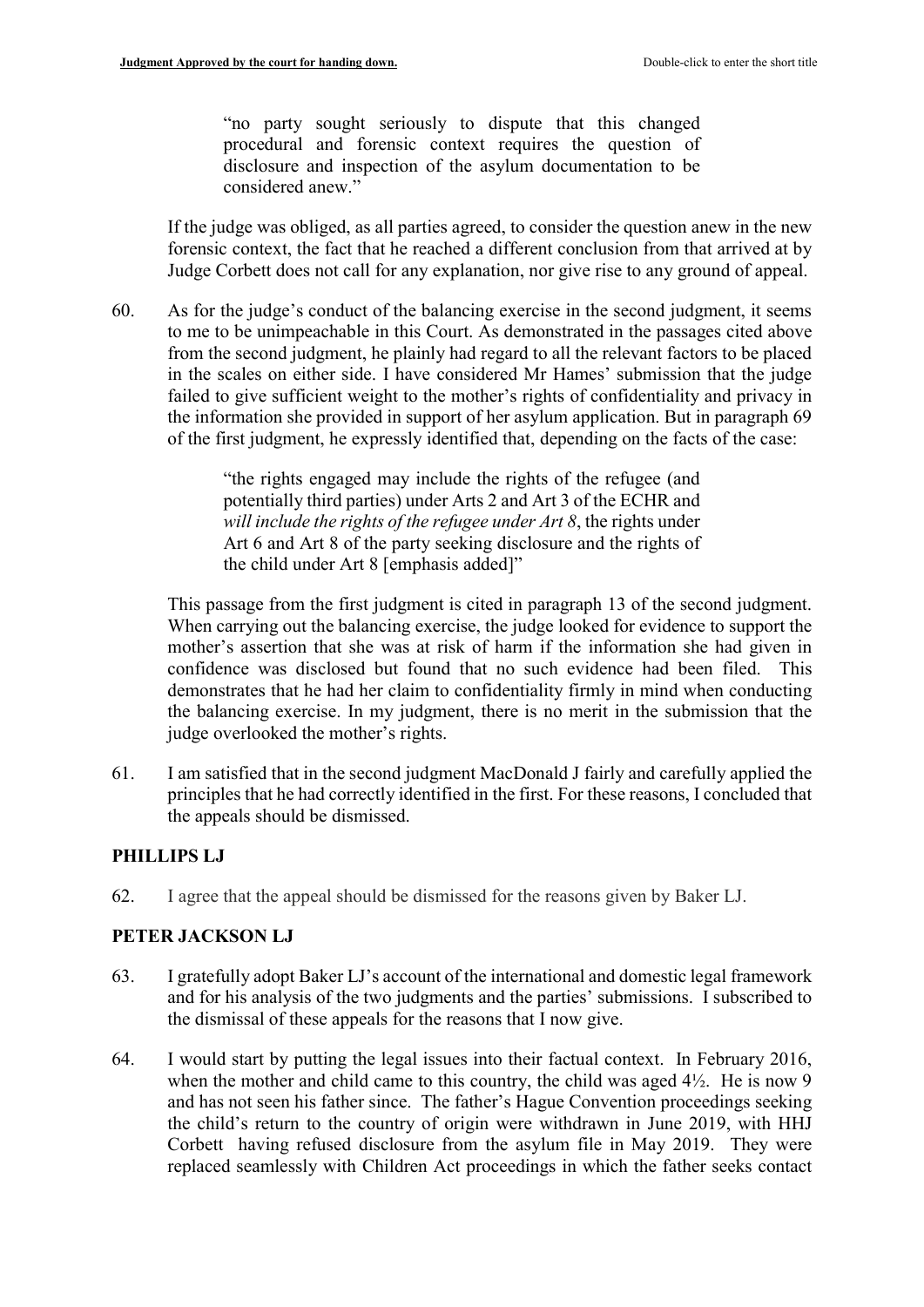"no party sought seriously to dispute that this changed procedural and forensic context requires the question of disclosure and inspection of the asylum documentation to be considered anew."

 If the judge was obliged, as all parties agreed, to consider the question anew in the new forensic context, the fact that he reached a different conclusion from that arrived at by Judge Corbett does not call for any explanation, nor give rise to any ground of appeal.

60. As for the judge's conduct of the balancing exercise in the second judgment, it seems to me to be unimpeachable in this Court. As demonstrated in the passages cited above from the second judgment, he plainly had regard to all the relevant factors to be placed in the scales on either side. I have considered Mr Hames' submission that the judge failed to give sufficient weight to the mother's rights of confidentiality and privacy in the information she provided in support of her asylum application. But in paragraph 69 of the first judgment, he expressly identified that, depending on the facts of the case:

> "the rights engaged may include the rights of the refugee (and potentially third parties) under Arts 2 and Art 3 of the ECHR and will include the rights of the refugee under  $Art 8$ , the rights under Art 6 and Art 8 of the party seeking disclosure and the rights of the child under Art 8 [emphasis added]"

This passage from the first judgment is cited in paragraph 13 of the second judgment. When carrying out the balancing exercise, the judge looked for evidence to support the mother's assertion that she was at risk of harm if the information she had given in confidence was disclosed but found that no such evidence had been filed. This demonstrates that he had her claim to confidentiality firmly in mind when conducting the balancing exercise. In my judgment, there is no merit in the submission that the judge overlooked the mother's rights.

61. I am satisfied that in the second judgment MacDonald J fairly and carefully applied the principles that he had correctly identified in the first. For these reasons, I concluded that the appeals should be dismissed.

# PHILLIPS LJ

62. I agree that the appeal should be dismissed for the reasons given by Baker LJ.

# PETER JACKSON LJ

- 63. I gratefully adopt Baker LJ's account of the international and domestic legal framework and for his analysis of the two judgments and the parties' submissions. I subscribed to the dismissal of these appeals for the reasons that I now give.
- 64. I would start by putting the legal issues into their factual context. In February 2016, when the mother and child came to this country, the child was aged  $4\frac{1}{2}$ . He is now 9 and has not seen his father since. The father's Hague Convention proceedings seeking the child's return to the country of origin were withdrawn in June 2019, with HHJ Corbett having refused disclosure from the asylum file in May 2019. They were replaced seamlessly with Children Act proceedings in which the father seeks contact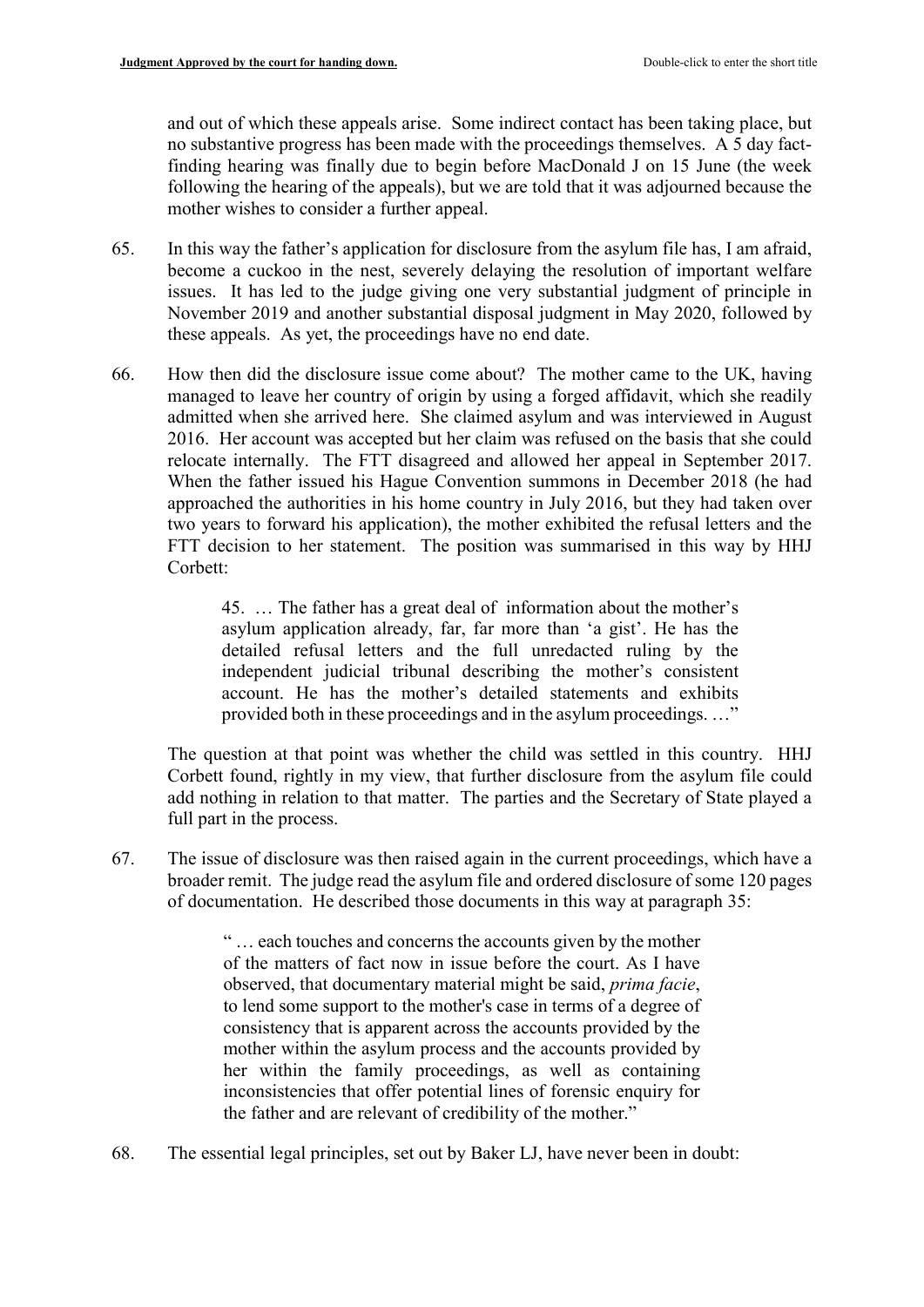and out of which these appeals arise. Some indirect contact has been taking place, but no substantive progress has been made with the proceedings themselves. A 5 day factfinding hearing was finally due to begin before MacDonald J on 15 June (the week following the hearing of the appeals), but we are told that it was adjourned because the mother wishes to consider a further appeal.

- 65. In this way the father's application for disclosure from the asylum file has, I am afraid, become a cuckoo in the nest, severely delaying the resolution of important welfare issues. It has led to the judge giving one very substantial judgment of principle in November 2019 and another substantial disposal judgment in May 2020, followed by these appeals. As yet, the proceedings have no end date.
- 66. How then did the disclosure issue come about? The mother came to the UK, having managed to leave her country of origin by using a forged affidavit, which she readily admitted when she arrived here. She claimed asylum and was interviewed in August 2016. Her account was accepted but her claim was refused on the basis that she could relocate internally. The FTT disagreed and allowed her appeal in September 2017. When the father issued his Hague Convention summons in December 2018 (he had approached the authorities in his home country in July 2016, but they had taken over two years to forward his application), the mother exhibited the refusal letters and the FTT decision to her statement. The position was summarised in this way by HHJ Corbett:

45. … The father has a great deal of information about the mother's asylum application already, far, far more than 'a gist'. He has the detailed refusal letters and the full unredacted ruling by the independent judicial tribunal describing the mother's consistent account. He has the mother's detailed statements and exhibits provided both in these proceedings and in the asylum proceedings. …"

The question at that point was whether the child was settled in this country. HHJ Corbett found, rightly in my view, that further disclosure from the asylum file could add nothing in relation to that matter. The parties and the Secretary of State played a full part in the process.

67. The issue of disclosure was then raised again in the current proceedings, which have a broader remit. The judge read the asylum file and ordered disclosure of some 120 pages of documentation. He described those documents in this way at paragraph 35:

> " … each touches and concerns the accounts given by the mother of the matters of fact now in issue before the court. As I have observed, that documentary material might be said, prima facie, to lend some support to the mother's case in terms of a degree of consistency that is apparent across the accounts provided by the mother within the asylum process and the accounts provided by her within the family proceedings, as well as containing inconsistencies that offer potential lines of forensic enquiry for the father and are relevant of credibility of the mother."

68. The essential legal principles, set out by Baker LJ, have never been in doubt: